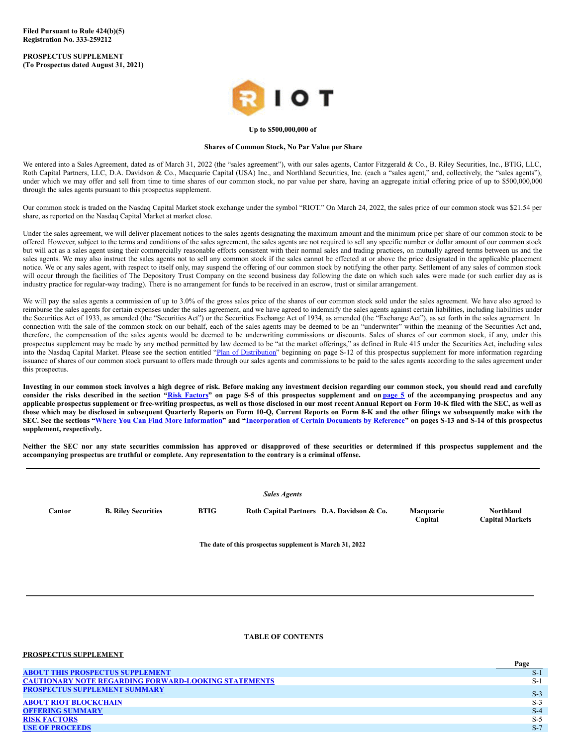**Filed Pursuant to Rule 424(b)(5) Registration No. 333-259212**

**PROSPECTUS SUPPLEMENT (To Prospectus dated August 31, 2021)**



## **Up to \$500,000,000 of**

### **Shares of Common Stock, No Par Value per Share**

We entered into a Sales Agreement, dated as of March 31, 2022 (the "sales agreement"), with our sales agents, Cantor Fitzgerald & Co., B. Riley Securities, Inc., BTIG, LLC, Roth Capital Partners, LLC, D.A. Davidson & Co., Macquarie Capital (USA) Inc., and Northland Securities, Inc. (each a "sales agent," and, collectively, the "sales agents"), under which we may offer and sell from time to time shares of our common stock, no par value per share, having an aggregate initial offering price of up to \$500,000,000 through the sales agents pursuant to this prospectus supplement.

Our common stock is traded on the Nasdaq Capital Market stock exchange under the symbol "RIOT." On March 24, 2022, the sales price of our common stock was \$21.54 per share, as reported on the Nasdaq Capital Market at market close.

Under the sales agreement, we will deliver placement notices to the sales agents designating the maximum amount and the minimum price per share of our common stock to be offered. However, subject to the terms and conditions of the sales agreement, the sales agents are not required to sell any specific number or dollar amount of our common stock but will act as a sales agent using their commercially reasonable efforts consistent with their normal sales and trading practices, on mutually agreed terms between us and the sales agents. We may also instruct the sales agents not to sell any common stock if the sales cannot be effected at or above the price designated in the applicable placement notice. We or any sales agent, with respect to itself only, may suspend the offering of our common stock by notifying the other party. Settlement of any sales of common stock will occur through the facilities of The Depository Trust Company on the second business day following the date on which such sales were made (or such earlier day as is industry practice for regular-way trading). There is no arrangement for funds to be received in an escrow, trust or similar arrangement.

We will pay the sales agents a commission of up to 3.0% of the gross sales price of the shares of our common stock sold under the sales agreement. We have also agreed to reimburse the sales agents for certain expenses under the sales agreement, and we have agreed to indemnify the sales agents against certain liabilities, including liabilities under the Securities Act of 1933, as amended (the "Securities Act") or the Securities Exchange Act of 1934, as amended (the "Exchange Act"), as set forth in the sales agreement. In connection with the sale of the common stock on our behalf, each of the sales agents may be deemed to be an "underwriter" within the meaning of the Securities Act and, therefore, the compensation of the sales agents would be deemed to be underwriting commissions or discounts. Sales of shares of our common stock, if any, under this prospectus supplement may be made by any method permitted by law deemed to be "at the market offerings," as defined in Rule 415 under the Securities Act, including sales into the Nasdaq Capital Market. Please see the section entitled "Plan of [Distribution](#page-8-0)" beginning on page S-12 of this prospectus supplement for more information regarding issuance of shares of our common stock pursuant to offers made through our sales agents and commissions to be paid to the sales agents according to the sales agreement under this prospectus.

Investing in our common stock involves a high degree of risk. Before making any investment decision regarding our common stock, you should read and carefully consider the risks described in the section "Risk [Factors](#page-4-0)" on [page](#page-13-0) S-5 of this prospectus supplement and on page 5 of the accompanying prospectus and any applicable prospectus supplement or free-writing prospectus, as well as those disclosed in our most recent Annual Report on Form 10-K filed with the SEC, as well as those which may be disclosed in subsequent Quarterly Reports on Form 10-Q, Current Reports on Form 8-K and the other filings we subsequently make with the SEC. See the sections "Where You Can Find More [Information](#page-9-0)" and "[Incorporation](#page-9-1) of Certain Documents by Reference" on pages S-13 and S-14 of this prospectus **supplement, respectively.**

Neither the SEC nor any state securities commission has approved or disapproved of these securities or determined if this prospectus supplement and the **accompanying prospectus are truthful or complete. Any representation to the contrary is a criminal offense.**

|        |                            |             | <b>Sales Agents</b>                                      |                      |                                     |
|--------|----------------------------|-------------|----------------------------------------------------------|----------------------|-------------------------------------|
| Cantor | <b>B. Riley Securities</b> | <b>BTIG</b> | Roth Capital Partners D.A. Davidson & Co.                | Macquarie<br>Capital | Northland<br><b>Capital Markets</b> |
|        |                            |             | The date of this prospectus supplement is March 31, 2022 |                      |                                     |
|        |                            |             |                                                          |                      |                                     |

#### <span id="page-0-0"></span>**TABLE OF CONTENTS**

| PROSPECTUS SUPPLEMENT                                       |       |
|-------------------------------------------------------------|-------|
|                                                             | Page  |
| <b>ABOUT THIS PROSPECTUS SUPPLEMENT</b>                     | $S-1$ |
| <b>CAUTIONARY NOTE REGARDING FORWARD-LOOKING STATEMENTS</b> | $S-1$ |
| <b>PROSPECTUS SUPPLEMENT SUMMARY</b>                        | $S-3$ |
| <b>ABOUT RIOT BLOCKCHAIN</b>                                | $S-3$ |
| <b>OFFERING SUMMARY</b>                                     | $S-4$ |
| <b>RISK FACTORS</b>                                         | $S-5$ |
| <b>USE OF PROCEEDS</b>                                      | $S-7$ |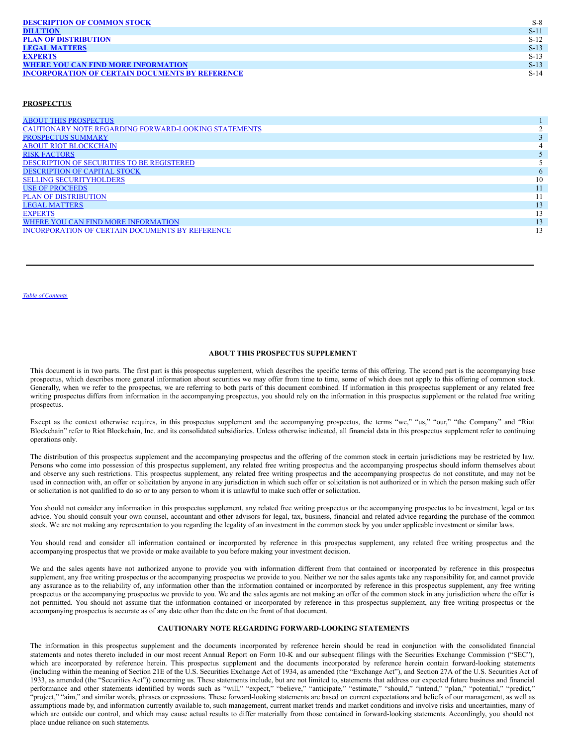| <b>DESCRIPTION OF COMMON STOCK</b>                     | $S-8$  |
|--------------------------------------------------------|--------|
| <b>DILUTION</b>                                        | $S-11$ |
| <b>PLAN OF DISTRIBUTION</b>                            | $S-12$ |
| <b>LEGAL MATTERS</b>                                   | $S-13$ |
| <b>EXPERTS</b>                                         | $S-13$ |
| <b>WHERE YOU CAN FIND MORE INFORMATION</b>             | $S-13$ |
| <b>INCORPORATION OF CERTAIN DOCUMENTS BY REFERENCE</b> | $S-14$ |

## **PROSPECTUS**

| <b>ABOUT THIS PROSPECTUS</b>                                |    |
|-------------------------------------------------------------|----|
| <b>CAUTIONARY NOTE REGARDING FORWARD-LOOKING STATEMENTS</b> |    |
| <b>PROSPECTUS SUMMARY</b>                                   |    |
| <b>ABOUT RIOT BLOCKCHAIN</b>                                |    |
| <b>RISK FACTORS</b>                                         |    |
| DESCRIPTION OF SECURITIES TO BE REGISTERED                  |    |
| <b>DESCRIPTION OF CAPITAL STOCK</b>                         |    |
| <b>SELLING SECURITYHOLDERS</b>                              | 10 |
| <b>USE OF PROCEEDS</b>                                      |    |
| <b>PLAN OF DISTRIBUTION</b>                                 |    |
| <b>LEGAL MATTERS</b>                                        |    |
| <b>EXPERTS</b>                                              | 13 |
| WHERE YOU CAN FIND MORE INFORMATION                         |    |
| INCORPORATION OF CERTAIN DOCUMENTS BY REFERENCE             | 13 |

<span id="page-1-0"></span>*Table of [Contents](#page-0-0)*

# **ABOUT THIS PROSPECTUS SUPPLEMENT**

This document is in two parts. The first part is this prospectus supplement, which describes the specific terms of this offering. The second part is the accompanying base prospectus, which describes more general information about securities we may offer from time to time, some of which does not apply to this offering of common stock. Generally, when we refer to the prospectus, we are referring to both parts of this document combined. If information in this prospectus supplement or any related free writing prospectus differs from information in the accompanying prospectus, you should rely on the information in this prospectus supplement or the related free writing prospectus.

Except as the context otherwise requires, in this prospectus supplement and the accompanying prospectus, the terms "we," "us," "our," "the Company" and "Riot Blockchain" refer to Riot Blockchain, Inc. and its consolidated subsidiaries. Unless otherwise indicated, all financial data in this prospectus supplement refer to continuing operations only.

The distribution of this prospectus supplement and the accompanying prospectus and the offering of the common stock in certain jurisdictions may be restricted by law. Persons who come into possession of this prospectus supplement, any related free writing prospectus and the accompanying prospectus should inform themselves about and observe any such restrictions. This prospectus supplement, any related free writing prospectus and the accompanying prospectus do not constitute, and may not be used in connection with, an offer or solicitation by anyone in any jurisdiction in which such offer or solicitation is not authorized or in which the person making such offer or solicitation is not qualified to do so or to any person to whom it is unlawful to make such offer or solicitation.

You should not consider any information in this prospectus supplement, any related free writing prospectus or the accompanying prospectus to be investment, legal or tax advice. You should consult your own counsel, accountant and other advisors for legal, tax, business, financial and related advice regarding the purchase of the common stock. We are not making any representation to you regarding the legality of an investment in the common stock by you under applicable investment or similar laws.

You should read and consider all information contained or incorporated by reference in this prospectus supplement, any related free writing prospectus and the accompanying prospectus that we provide or make available to you before making your investment decision.

We and the sales agents have not authorized anyone to provide you with information different from that contained or incorporated by reference in this prospectus supplement, any free writing prospectus or the accompanying prospectus we provide to you. Neither we nor the sales agents take any responsibility for, and cannot provide any assurance as to the reliability of, any information other than the information contained or incorporated by reference in this prospectus supplement, any free writing prospectus or the accompanying prospectus we provide to you. We and the sales agents are not making an offer of the common stock in any jurisdiction where the offer is not permitted. You should not assume that the information contained or incorporated by reference in this prospectus supplement, any free writing prospectus or the accompanying prospectus is accurate as of any date other than the date on the front of that document.

# <span id="page-1-1"></span>**CAUTIONARY NOTE REGARDING FORWARD-LOOKING STATEMENTS**

The information in this prospectus supplement and the documents incorporated by reference herein should be read in conjunction with the consolidated financial statements and notes thereto included in our most recent Annual Report on Form 10-K and our subsequent filings with the Securities Exchange Commission ("SEC"), which are incorporated by reference herein. This prospectus supplement and the documents incorporated by reference herein contain forward-looking statements (including within the meaning of Section 21E of the U.S. Securities Exchange Act of 1934, as amended (the "Exchange Act"), and Section 27A of the U.S. Securities Act of 1933, as amended (the "Securities Act")) concerning us. These statements include, but are not limited to, statements that address our expected future business and financial performance and other statements identified by words such as "will," "expect," "believe," "anticipate," "estimate," "should," "intend," "plan," "potential," "predict," "project," "aim," and similar words, phrases or expressions. These forward-looking statements are based on current expectations and beliefs of our management, as well as assumptions made by, and information currently available to, such management, current market trends and market conditions and involve risks and uncertainties, many of which are outside our control, and which may cause actual results to differ materially from those contained in forward-looking statements. Accordingly, you should not place undue reliance on such statements.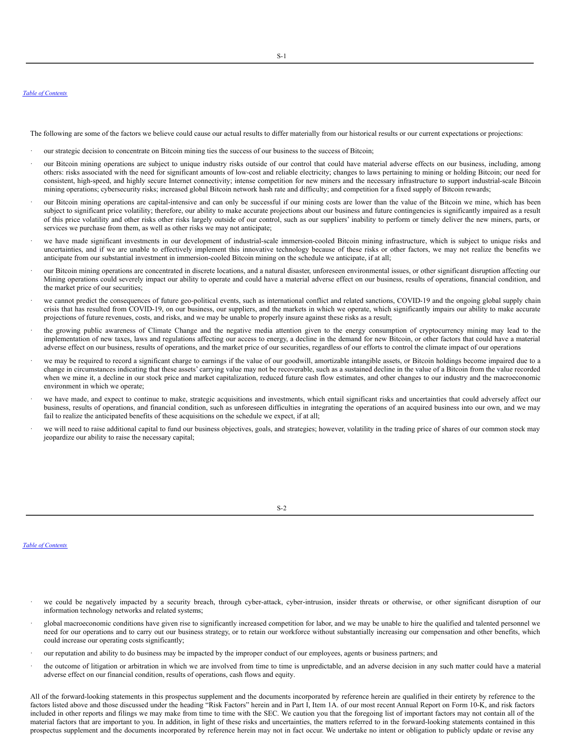#### *Table of [Contents](#page-0-0)*

The following are some of the factors we believe could cause our actual results to differ materially from our historical results or our current expectations or projections:

- our strategic decision to concentrate on Bitcoin mining ties the success of our business to the success of Bitcoin;
- · our Bitcoin mining operations are subject to unique industry risks outside of our control that could have material adverse effects on our business, including, among others: risks associated with the need for significant amounts of low-cost and reliable electricity; changes to laws pertaining to mining or holding Bitcoin; our need for consistent, high-speed, and highly secure Internet connectivity; intense competition for new miners and the necessary infrastructure to support industrial-scale Bitcoin mining operations; cybersecurity risks; increased global Bitcoin network hash rate and difficulty; and competition for a fixed supply of Bitcoin rewards;
- our Bitcoin mining operations are capital-intensive and can only be successful if our mining costs are lower than the value of the Bitcoin we mine, which has been subject to significant price volatility; therefore, our ability to make accurate projections about our business and future contingencies is significantly impaired as a result of this price volatility and other risks other risks largely outside of our control, such as our suppliers' inability to perform or timely deliver the new miners, parts, or services we purchase from them, as well as other risks we may not anticipate;
- we have made significant investments in our development of industrial-scale immersion-cooled Bitcoin mining infrastructure, which is subject to unique risks and uncertainties, and if we are unable to effectively implement this innovative technology because of these risks or other factors, we may not realize the benefits we anticipate from our substantial investment in immersion-cooled Bitcoin mining on the schedule we anticipate, if at all;
- our Bitcoin mining operations are concentrated in discrete locations, and a natural disaster, unforeseen environmental issues, or other significant disruption affecting our Mining operations could severely impact our ability to operate and could have a material adverse effect on our business, results of operations, financial condition, and the market price of our securities;
- we cannot predict the consequences of future geo-political events, such as international conflict and related sanctions, COVID-19 and the ongoing global supply chain crisis that has resulted from COVID-19, on our business, our suppliers, and the markets in which we operate, which significantly impairs our ability to make accurate projections of future revenues, costs, and risks, and we may be unable to properly insure against these risks as a result;
- the growing public awareness of Climate Change and the negative media attention given to the energy consumption of cryptocurrency mining may lead to the implementation of new taxes, laws and regulations affecting our access to energy, a decline in the demand for new Bitcoin, or other factors that could have a material adverse effect on our business, results of operations, and the market price of our securities, regardless of our efforts to control the climate impact of our operations
- we may be required to record a significant charge to earnings if the value of our goodwill, amortizable intangible assets, or Bitcoin holdings become impaired due to a change in circumstances indicating that these assets' carrying value may not be recoverable, such as a sustained decline in the value of a Bitcoin from the value recorded when we mine it, a decline in our stock price and market capitalization, reduced future cash flow estimates, and other changes to our industry and the macroeconomic environment in which we operate;
- we have made, and expect to continue to make, strategic acquisitions and investments, which entail significant risks and uncertainties that could adversely affect our business, results of operations, and financial condition, such as unforeseen difficulties in integrating the operations of an acquired business into our own, and we may fail to realize the anticipated benefits of these acquisitions on the schedule we expect, if at all;
- we will need to raise additional capital to fund our business objectives, goals, and strategies; however, volatility in the trading price of shares of our common stock may jeopardize our ability to raise the necessary capital;

*Table of [Contents](#page-0-0)*

- we could be negatively impacted by a security breach, through cyber-attack, cyber-intrusion, insider threats or otherwise, or other significant disruption of our information technology networks and related systems;
- · global macroeconomic conditions have given rise to significantly increased competition for labor, and we may be unable to hire the qualified and talented personnel we need for our operations and to carry out our business strategy, or to retain our workforce without substantially increasing our compensation and other benefits, which could increase our operating costs significantly;
- · our reputation and ability to do business may be impacted by the improper conduct of our employees, agents or business partners; and
- the outcome of litigation or arbitration in which we are involved from time to time is unpredictable, and an adverse decision in any such matter could have a material adverse effect on our financial condition, results of operations, cash flows and equity.

All of the forward-looking statements in this prospectus supplement and the documents incorporated by reference herein are qualified in their entirety by reference to the factors listed above and those discussed under the heading "Risk Factors" herein and in Part I, Item 1A. of our most recent Annual Report on Form 10-K, and risk factors included in other reports and filings we may make from time to time with the SEC. We caution you that the foregoing list of important factors may not contain all of the material factors that are important to you. In addition, in light of these risks and uncertainties, the matters referred to in the forward-looking statements contained in this prospectus supplement and the documents incorporated by reference herein may not in fact occur. We undertake no intent or obligation to publicly update or revise any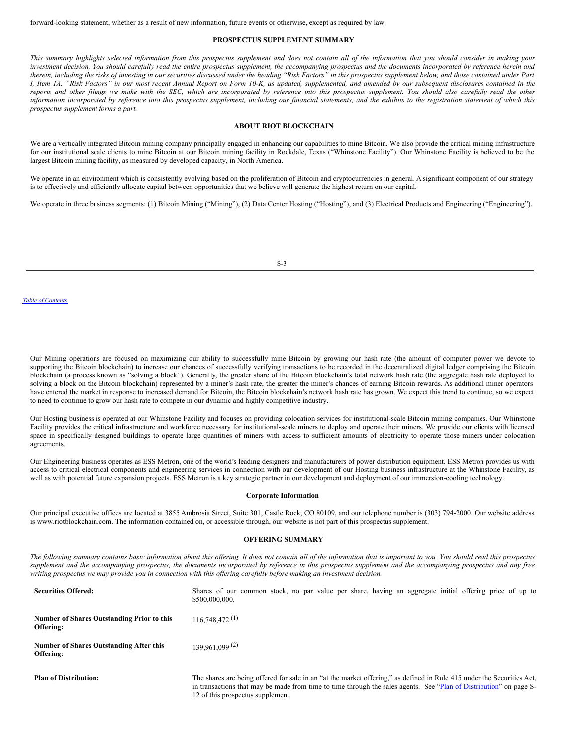### <span id="page-3-0"></span>**PROSPECTUS SUPPLEMENT SUMMARY**

This summary highlights selected information from this prospectus supplement and does not contain all of the information that you should consider in making your investment decision. You should carefully read the entire prospectus supplement, the accompanying prospectus and the documents incorporated by reference herein and therein, including the risks of investing in our securities discussed under the heading "Risk Factors" in this prospectus supplement below, and those contained under Part I, Item 1A. "Risk Factors" in our most recent Annual Report on Form 10-K, as updated, supplemented, and amended by our subsequent disclosures contained in the reports and other filings we make with the SEC, which are incorporated by reference into this prospectus supplement. You should also carefully read the other information incorporated by reference into this prospectus supplement, including our financial statements, and the exhibits to the registration statement of which this *prospectus supplement forms a part.*

### <span id="page-3-1"></span>**ABOUT RIOT BLOCKCHAIN**

We are a vertically integrated Bitcoin mining company principally engaged in enhancing our capabilities to mine Bitcoin. We also provide the critical mining infrastructure for our institutional scale clients to mine Bitcoin at our Bitcoin mining facility in Rockdale, Texas ("Whinstone Facility"). Our Whinstone Facility is believed to be the largest Bitcoin mining facility, as measured by developed capacity, in North America.

We operate in an environment which is consistently evolving based on the proliferation of Bitcoin and cryptocurrencies in general. A significant component of our strategy is to effectively and efficiently allocate capital between opportunities that we believe will generate the highest return on our capital.

We operate in three business segments: (1) Bitcoin Mining ("Mining"), (2) Data Center Hosting ("Hosting"), and (3) Electrical Products and Engineering ("Engineering").

S-3

#### *Table of [Contents](#page-0-0)*

Our Mining operations are focused on maximizing our ability to successfully mine Bitcoin by growing our hash rate (the amount of computer power we devote to supporting the Bitcoin blockchain) to increase our chances of successfully verifying transactions to be recorded in the decentralized digital ledger comprising the Bitcoin blockchain (a process known as "solving a block"). Generally, the greater share of the Bitcoin blockchain's total network hash rate (the aggregate hash rate deployed to solving a block on the Bitcoin blockchain) represented by a miner's hash rate, the greater the miner's chances of earning Bitcoin rewards. As additional miner operators have entered the market in response to increased demand for Bitcoin, the Bitcoin blockchain's network hash rate has grown. We expect this trend to continue, so we expect to need to continue to grow our hash rate to compete in our dynamic and highly competitive industry.

Our Hosting business is operated at our Whinstone Facility and focuses on providing colocation services for institutional-scale Bitcoin mining companies. Our Whinstone Facility provides the critical infrastructure and workforce necessary for institutional-scale miners to deploy and operate their miners. We provide our clients with licensed space in specifically designed buildings to operate large quantities of miners with access to sufficient amounts of electricity to operate those miners under colocation agreements.

Our Engineering business operates as ESS Metron, one of the world's leading designers and manufacturers of power distribution equipment. ESS Metron provides us with access to critical electrical components and engineering services in connection with our development of our Hosting business infrastructure at the Whinstone Facility, as well as with potential future expansion projects. ESS Metron is a key strategic partner in our development and deployment of our immersion-cooling technology.

#### **Corporate Information**

Our principal executive offices are located at 3855 Ambrosia Street, Suite 301, Castle Rock, CO 80109, and our telephone number is (303) 794-2000. Our website address is www.riotblockchain.com. The information contained on, or accessible through, our website is not part of this prospectus supplement.

#### <span id="page-3-2"></span>**OFFERING SUMMARY**

The following summary contains basic information about this offering. It does not contain all of the information that is important to you. You should read this prospectus supplement and the accompanying prospectus, the documents incorporated by reference in this prospectus supplement and the accompanying prospectus and any free writing prospectus we may provide you in connection with this offering carefully before making an investment decision.

| <b>Securities Offered:</b>                              | Shares of our common stock, no par value per share, having an aggregate initial offering price of up to<br>\$500,000,000.                                                                                                                                                         |
|---------------------------------------------------------|-----------------------------------------------------------------------------------------------------------------------------------------------------------------------------------------------------------------------------------------------------------------------------------|
| Number of Shares Outstanding Prior to this<br>Offering: | 116,748,472(1)                                                                                                                                                                                                                                                                    |
| Number of Shares Outstanding After this<br>Offering:    | $139.961.099^{(2)}$                                                                                                                                                                                                                                                               |
| <b>Plan of Distribution:</b>                            | The shares are being offered for sale in an "at the market offering," as defined in Rule 415 under the Securities Act,<br>in transactions that may be made from time to time through the sales agents. See "Plan of Distribution" on page S-<br>12 of this prospectus supplement. |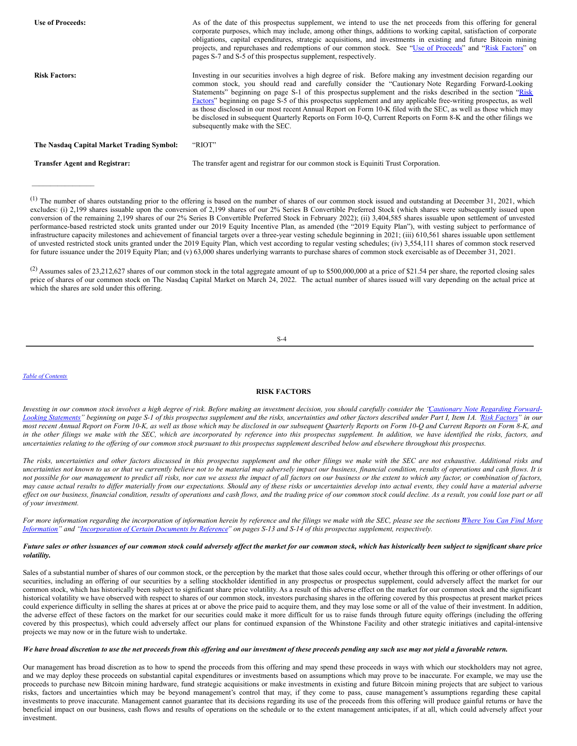| <b>Use of Proceeds:</b>                   | As of the date of this prospectus supplement, we intend to use the net proceeds from this offering for general<br>corporate purposes, which may include, among other things, additions to working capital, satisfaction of corporate<br>obligations, capital expenditures, strategic acquisitions, and investments in existing and future Bitcoin mining<br>projects, and repurchases and redemptions of our common stock. See "Use of Proceeds" and "Risk Factors" on<br>pages S-7 and S-5 of this prospectus supplement, respectively.                                                                                                                                                                                             |
|-------------------------------------------|--------------------------------------------------------------------------------------------------------------------------------------------------------------------------------------------------------------------------------------------------------------------------------------------------------------------------------------------------------------------------------------------------------------------------------------------------------------------------------------------------------------------------------------------------------------------------------------------------------------------------------------------------------------------------------------------------------------------------------------|
| <b>Risk Factors:</b>                      | Investing in our securities involves a high degree of risk. Before making any investment decision regarding our<br>common stock, you should read and carefully consider the "Cautionary Note Regarding Forward-Looking<br>Statements" beginning on page S-1 of this prospectus supplement and the risks described in the section "Risk"<br>Factors" beginning on page S-5 of this prospectus supplement and any applicable free-writing prospectus, as well<br>as those disclosed in our most recent Annual Report on Form 10-K filed with the SEC, as well as those which may<br>be disclosed in subsequent Quarterly Reports on Form 10-Q, Current Reports on Form 8-K and the other filings we<br>subsequently make with the SEC. |
| The Nasdaq Capital Market Trading Symbol: | "RIOT"                                                                                                                                                                                                                                                                                                                                                                                                                                                                                                                                                                                                                                                                                                                               |

 $\mathcal{L}_\text{max}$  and  $\mathcal{L}_\text{max}$ 

**Transfer Agent and Registrar:** The transfer agent and registrar for our common stock is Equiniti Trust Corporation.

(1) The number of shares outstanding prior to the offering is based on the number of shares of our common stock issued and outstanding at December 31, 2021, which excludes: (i) 2,199 shares issuable upon the conversion of 2,199 shares of our 2% Series B Convertible Preferred Stock (which shares were subsequently issued upon conversion of the remaining 2,199 shares of our 2% Series B Convertible Preferred Stock in February 2022); (ii) 3,404,585 shares issuable upon settlement of unvested performance-based restricted stock units granted under our 2019 Equity Incentive Plan, as amended (the "2019 Equity Plan"), with vesting subject to performance of infrastructure capacity milestones and achievement of financial targets over a three-year vesting schedule beginning in 2021; (iii) 610,561 shares issuable upon settlement of unvested restricted stock units granted under the 2019 Equity Plan, which vest according to regular vesting schedules; (iv) 3,554,111 shares of common stock reserved for future issuance under the 2019 Equity Plan; and (v) 63,000 shares underlying warrants to purchase shares of common stock exercisable as of December 31, 2021.

(2) Assumes sales of 23,212,627 shares of our common stock in the total aggregate amount of up to \$500,000,000 at a price of \$21.54 per share, the reported closing sales price of shares of our common stock on The Nasdaq Capital Market on March 24, 2022. The actual number of shares issued will vary depending on the actual price at which the shares are sold under this offering.

S-4

#### *Table of [Contents](#page-0-0)*

# <span id="page-4-0"></span>**RISK FACTORS**

Investing in our common stock involves a high degree of risk. Before making an investment decision, you should carefully consider the "Cautionary Note Regarding ForwardLooking Statements" beginning on page S-1 of this prospectus supplement and the risks, [uncertainties](#page-1-1) and other factors described under Part I, Item 1A. 'Risk [Factors](http://www.sec.gov/Archives/edgar/data/1167419/000107997322000280/riot10k1221.htm)' in our most recent Annual Report on Form 10-K, as well as those which may be disclosed in our subsequent Quarterly Reports on Form 10-Q and Current Reports on Form 8-K, and in the other filings we make with the SEC, which are incorporated by reference into this prospectus supplement. In addition, we have identified the risks, factors, and uncertainties relating to the offering of our common stock pursuant to this prospectus supplement described below and elsewhere throughout this prospectus.

The risks, uncertainties and other factors discussed in this prospectus supplement and the other filings we make with the SEC are not exhaustive. Additional risks and uncertainties not known to us or that we currently believe not to be material may adversely impact our business, financial condition, results of operations and cash flows. It is not possible for our management to predict all risks, nor can we assess the impact of all factors on our business or the extent to which any factor, or combination of factors, may cause actual results to differ materially from our expectations. Should any of these risks or uncertainties develop into actual events, they could have a material adverse effect on our business, financial condition, results of operations and cash flows, and the trading price of our common stock could decline. As a result, you could lose part or all *of your investment.*

For more information regarding the incorporation of information herein by reference and the filings we make with the SEC, please see the sections Where You Can Find More Information" and ["Incorporation](#page-9-0) of Certain Documents by Reference" on pages S-13 and S-14 of this prospectus supplement, respectively.

### Future sales or other issuances of our common stock could adversely affect the market for our common stock, which has historically been subject to significant share price *volatility.*

Sales of a substantial number of shares of our common stock, or the perception by the market that those sales could occur, whether through this offering or other offerings of our securities, including an offering of our securities by a selling stockholder identified in any prospectus or prospectus supplement, could adversely affect the market for our common stock, which has historically been subject to significant share price volatility. As a result of this adverse effect on the market for our common stock and the significant historical volatility we have observed with respect to shares of our common stock, investors purchasing shares in the offering covered by this prospectus at present market prices could experience difficulty in selling the shares at prices at or above the price paid to acquire them, and they may lose some or all of the value of their investment. In addition, the adverse effect of these factors on the market for our securities could make it more difficult for us to raise funds through future equity offerings (including the offering covered by this prospectus), which could adversely affect our plans for continued expansion of the Whinstone Facility and other strategic initiatives and capital-intensive projects we may now or in the future wish to undertake.

# We have broad discretion to use the net proceeds from this offering and our investment of these proceeds pending any such use may not yield a favorable return.

Our management has broad discretion as to how to spend the proceeds from this offering and may spend these proceeds in ways with which our stockholders may not agree, and we may deploy these proceeds on substantial capital expenditures or investments based on assumptions which may prove to be inaccurate. For example, we may use the proceeds to purchase new Bitcoin mining hardware, fund strategic acquisitions or make investments in existing and future Bitcoin mining projects that are subject to various risks, factors and uncertainties which may be beyond management's control that may, if they come to pass, cause management's assumptions regarding these capital investments to prove inaccurate. Management cannot guarantee that its decisions regarding its use of the proceeds from this offering will produce gainful returns or have the beneficial impact on our business, cash flows and results of operations on the schedule or to the extent management anticipates, if at all, which could adversely affect your investment.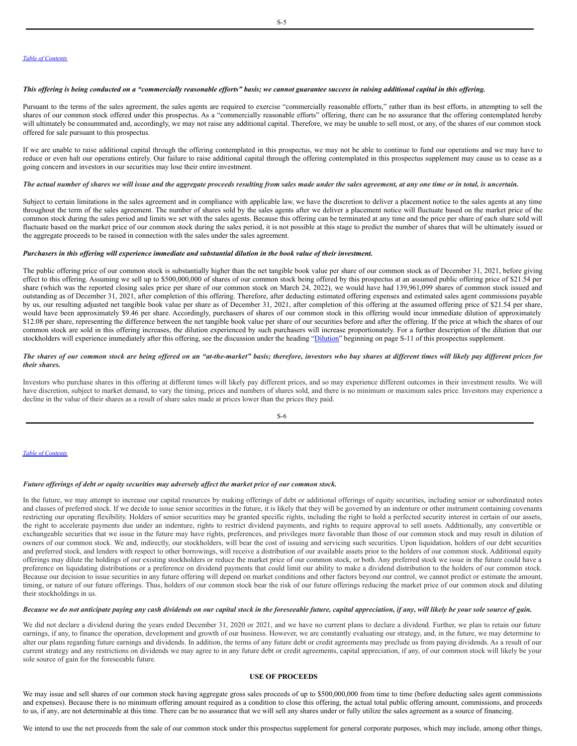### This offering is being conducted on a "commercially reasonable efforts" basis; we cannot guarantee success in raising additional capital in this offering.

Pursuant to the terms of the sales agreement, the sales agents are required to exercise "commercially reasonable efforts," rather than its best efforts, in attempting to sell the shares of our common stock offered under this prospectus. As a "commercially reasonable efforts" offering, there can be no assurance that the offering contemplated hereby will ultimately be consummated and, accordingly, we may not raise any additional capital. Therefore, we may be unable to sell most, or any, of the shares of our common stock offered for sale pursuant to this prospectus.

If we are unable to raise additional capital through the offering contemplated in this prospectus, we may not be able to continue to fund our operations and we may have to reduce or even halt our operations entirely. Our failure to raise additional capital through the offering contemplated in this prospectus supplement may cause us to cease as a going concern and investors in our securities may lose their entire investment.

### The actual number of shares we will issue and the aggregate proceeds resulting from sales made under the sales agreement, at any one time or in total, is uncertain.

Subject to certain limitations in the sales agreement and in compliance with applicable law, we have the discretion to deliver a placement notice to the sales agents at any time throughout the term of the sales agreement. The number of shares sold by the sales agents after we deliver a placement notice will fluctuate based on the market price of the common stock during the sales period and limits we set with the sales agents. Because this offering can be terminated at any time and the price per share of each share sold will fluctuate based on the market price of our common stock during the sales period, it is not possible at this stage to predict the number of shares that will be ultimately issued or the aggregate proceeds to be raised in connection with the sales under the sales agreement.

### Purchasers in this offering will experience immediate and substantial dilution in the book value of their investment.

The public offering price of our common stock is substantially higher than the net tangible book value per share of our common stock as of December 31, 2021, before giving effect to this offering. Assuming we sell up to \$500,000,000 of shares of our common stock being offered by this prospectus at an assumed public offering price of \$21.54 per share (which was the reported closing sales price per share of our common stock on March 24, 2022), we would have had 139,961,099 shares of common stock issued and outstanding as of December 31, 2021, after completion of this offering. Therefore, after deducting estimated offering expenses and estimated sales agent commissions payable by us, our resulting adjusted net tangible book value per share as of December 31, 2021, after completion of this offering at the assumed offering price of \$21.54 per share, would have been approximately \$9.46 per share. Accordingly, purchasers of shares of our common stock in this offering would incur immediate dilution of approximately \$12.08 per share, representing the difference between the net tangible book value per share of our securities before and after the offering. If the price at which the shares of our common stock are sold in this offering increases, the dilution experienced by such purchasers will increase proportionately. For a further description of the dilution that our stockholders will experience immediately after this offering, see the discussion under the heading "[Dilution](#page-7-0)" beginning on page S-11 of this prospectus supplement.

### The shares of our common stock are being offered on an "at-the-market" basis; therefore, investors who buy shares at different times will likely pay different prices for *their shares.*

Investors who purchase shares in this offering at different times will likely pay different prices, and so may experience different outcomes in their investment results. We will have discretion, subject to market demand, to vary the timing, prices and numbers of shares sold, and there is no minimum or maximum sales price. Investors may experience a decline in the value of their shares as a result of share sales made at prices lower than the prices they paid.

S-6

#### *Table of [Contents](#page-0-0)*

### Future offerings of debt or equity securities may adversely affect the market price of our common stock.

In the future, we may attempt to increase our capital resources by making offerings of debt or additional offerings of equity securities, including senior or subordinated notes and classes of preferred stock. If we decide to issue senior securities in the future, it is likely that they will be governed by an indenture or other instrument containing covenants restricting our operating flexibility. Holders of senior securities may be granted specific rights, including the right to hold a perfected security interest in certain of our assets, the right to accelerate payments due under an indenture, rights to restrict dividend payments, and rights to require approval to sell assets. Additionally, any convertible or exchangeable securities that we issue in the future may have rights, preferences, and privileges more favorable than those of our common stock and may result in dilution of owners of our common stock. We and, indirectly, our stockholders, will bear the cost of issuing and servicing such securities. Upon liquidation, holders of our debt securities and preferred stock, and lenders with respect to other borrowings, will receive a distribution of our available assets prior to the holders of our common stock. Additional equity offerings may dilute the holdings of our existing stockholders or reduce the market price of our common stock, or both. Any preferred stock we issue in the future could have a preference on liquidating distributions or a preference on dividend payments that could limit our ability to make a dividend distribution to the holders of our common stock. Because our decision to issue securities in any future offering will depend on market conditions and other factors beyond our control, we cannot predict or estimate the amount, timing, or nature of our future offerings. Thus, holders of our common stock bear the risk of our future offerings reducing the market price of our common stock and diluting their stockholdings in us.

## Because we do not anticipate paying any cash dividends on our capital stock in the foreseeable future, capital appreciation, if any, will likely be your sole source of gain.

We did not declare a dividend during the years ended December 31, 2020 or 2021, and we have no current plans to declare a dividend. Further, we plan to retain our future earnings, if any, to finance the operation, development and growth of our business. However, we are constantly evaluating our strategy, and, in the future, we may determine to alter our plans regarding future earnings and dividends. In addition, the terms of any future debt or credit agreements may preclude us from paying dividends. As a result of our current strategy and any restrictions on dividends we may agree to in any future debt or credit agreements, capital appreciation, if any, of our common stock will likely be your sole source of gain for the foreseeable future.

## <span id="page-5-0"></span>**USE OF PROCEEDS**

We may issue and sell shares of our common stock having aggregate gross sales proceeds of up to \$500,000,000 from time to time (before deducting sales agent commissions and expenses). Because there is no minimum offering amount required as a condition to close this offering, the actual total public offering amount, commissions, and proceeds to us, if any, are not determinable at this time. There can be no assurance that we will sell any shares under or fully utilize the sales agreement as a source of financing.

We intend to use the net proceeds from the sale of our common stock under this prospectus supplement for general corporate purposes, which may include, among other things,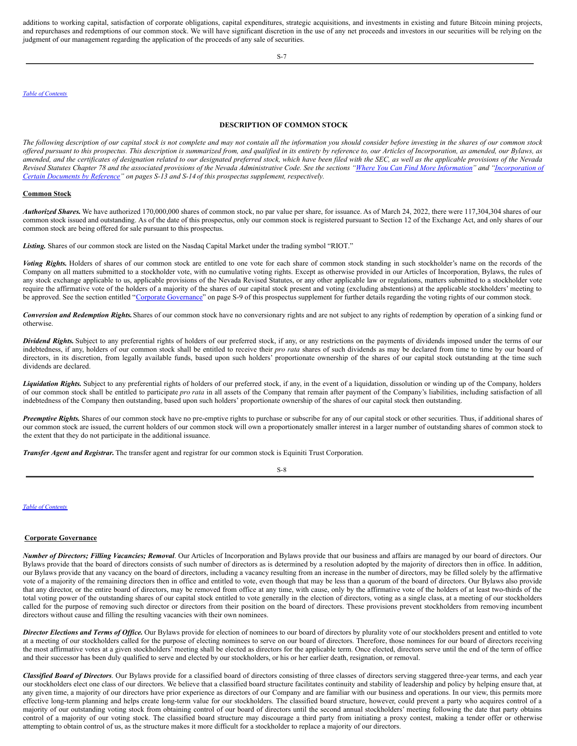additions to working capital, satisfaction of corporate obligations, capital expenditures, strategic acquisitions, and investments in existing and future Bitcoin mining projects, and repurchases and redemptions of our common stock. We will have significant discretion in the use of any net proceeds and investors in our securities will be relying on the judgment of our management regarding the application of the proceeds of any sale of securities.

S-7

*Table of [Contents](#page-0-0)*

## <span id="page-6-0"></span>**DESCRIPTION OF COMMON STOCK**

The following description of our capital stock is not complete and may not contain all the information you should consider before investing in the shares of our common stock offered pursuant to this prospectus. This description is summarized from, and qualified in its entirety by reference to, our Articles of Incorporation, as amended, our Bylaws, as amended, and the certificates of designation related to our designated preferred stock, which have been filed with the SEC, as well as the applicable provisions of the Nevada Revised Statutes Chapter 78 and the associated provisions of the Nevada Administrative Code. See the sections "Where You Can Find More [Information](#page-9-0)" and ["Incorporation](#page-9-1) of *Certain Documents by Reference" on pages S-13 and S-14 of this prospectus supplement, respectively.*

### **Common Stock**

*Authorized Shares.* We have authorized 170,000,000 shares of common stock, no par value per share, for issuance. As of March 24, 2022, there were 117,304,304 shares of our common stock issued and outstanding. As of the date of this prospectus, only our common stock is registered pursuant to Section 12 of the Exchange Act, and only shares of our common stock are being offered for sale pursuant to this prospectus.

Listing. Shares of our common stock are listed on the Nasdaq Capital Market under the trading symbol "RIOT."

Voting Rights. Holders of shares of our common stock are entitled to one vote for each share of common stock standing in such stockholder's name on the records of the Company on all matters submitted to a stockholder vote, with no cumulative voting rights. Except as otherwise provided in our Articles of Incorporation, Bylaws, the rules of any stock exchange applicable to us, applicable provisions of the Nevada Revised Statutes, or any other applicable law or regulations, matters submitted to a stockholder vote require the affirmative vote of the holders of a majority of the shares of our capital stock present and voting (excluding abstentions) at the applicable stockholders' meeting to be approved. See the section entitled "Corporate [Governance](#page-6-1)" on page S-9 of this prospectus supplement for further details regarding the voting rights of our common stock.

*Conversion and Redemption Rights.*Shares of our common stock have no conversionary rights and are not subject to any rights of redemption by operation of a sinking fund or otherwise.

*Dividend Rights.* Subject to any preferential rights of holders of our preferred stock, if any, or any restrictions on the payments of dividends imposed under the terms of our indebtedness, if any, holders of our common stock shall be entitled to receive their *pro rata* shares of such dividends as may be declared from time to time by our board of directors, in its discretion, from legally available funds, based upon such holders' proportionate ownership of the shares of our capital stock outstanding at the time such dividends are declared.

*Liquidation Rights.* Subject to any preferential rights of holders of our preferred stock, if any, in the event of a liquidation, dissolution or winding up of the Company, holders of our common stock shall be entitled to participate *pro rata* in all assets of the Company that remain after payment of the Company's liabilities, including satisfaction of all indebtedness of the Company then outstanding, based upon such holders' proportionate ownership of the shares of our capital stock then outstanding.

*Preemptive Rights.* Shares of our common stock have no pre-emptive rights to purchase or subscribe for any of our capital stock or other securities. Thus, if additional shares of our common stock are issued, the current holders of our common stock will own a proportionately smaller interest in a larger number of outstanding shares of common stock to the extent that they do not participate in the additional issuance.

*Transfer Agent and Registrar.* The transfer agent and registrar for our common stock is Equiniti Trust Corporation.

*Table of [Contents](#page-0-0)*

### <span id="page-6-1"></span>**Corporate Governance**

*Number of Directors; Filling Vacancies; Removal*. Our Articles of Incorporation and Bylaws provide that our business and affairs are managed by our board of directors. Our Bylaws provide that the board of directors consists of such number of directors as is determined by a resolution adopted by the majority of directors then in office. In addition, our Bylaws provide that any vacancy on the board of directors, including a vacancy resulting from an increase in the number of directors, may be filled solely by the affirmative vote of a majority of the remaining directors then in office and entitled to vote, even though that may be less than a quorum of the board of directors. Our Bylaws also provide that any director, or the entire board of directors, may be removed from office at any time, with cause, only by the affirmative vote of the holders of at least two-thirds of the total voting power of the outstanding shares of our capital stock entitled to vote generally in the election of directors, voting as a single class, at a meeting of our stockholders called for the purpose of removing such director or directors from their position on the board of directors. These provisions prevent stockholders from removing incumbent directors without cause and filling the resulting vacancies with their own nominees.

Director Elections and Terms of Office. Our Bylaws provide for election of nominees to our board of directors by plurality vote of our stockholders present and entitled to vote at a meeting of our stockholders called for the purpose of electing nominees to serve on our board of directors. Therefore, those nominees for our board of directors receiving the most affirmative votes at a given stockholders' meeting shall be elected as directors for the applicable term. Once elected, directors serve until the end of the term of office and their successor has been duly qualified to serve and elected by our stockholders, or his or her earlier death, resignation, or removal.

*Classified Board of Directors*. Our Bylaws provide for a classified board of directors consisting of three classes of directors serving staggered three-year terms, and each year our stockholders elect one class of our directors. We believe that a classified board structure facilitates continuity and stability of leadership and policy by helping ensure that, at any given time, a majority of our directors have prior experience as directors of our Company and are familiar with our business and operations. In our view, this permits more effective long-term planning and helps create long-term value for our stockholders. The classified board structure, however, could prevent a party who acquires control of a majority of our outstanding voting stock from obtaining control of our board of directors until the second annual stockholders' meeting following the date that party obtains control of a majority of our voting stock. The classified board structure may discourage a third party from initiating a proxy contest, making a tender offer or otherwise attempting to obtain control of us, as the structure makes it more difficult for a stockholder to replace a majority of our directors.

S-8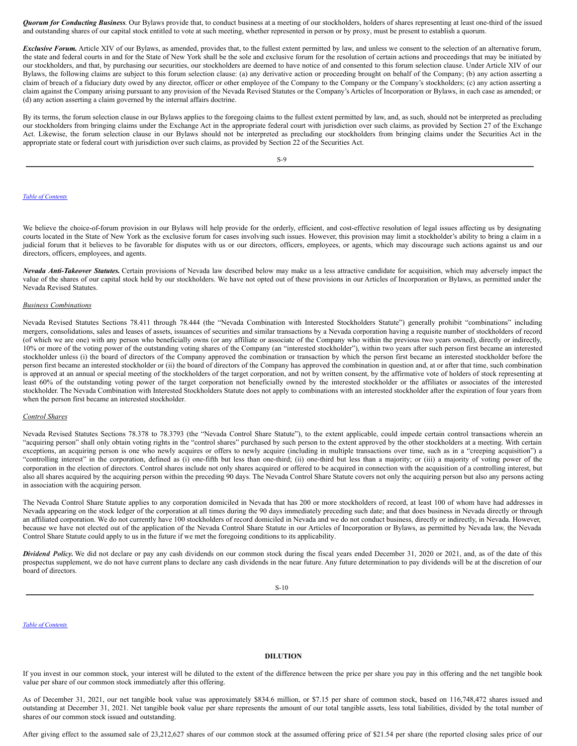*Quorum for Conducting Business*. Our Bylaws provide that, to conduct business at a meeting of our stockholders, holders of shares representing at least one-third of the issued and outstanding shares of our capital stock entitled to vote at such meeting, whether represented in person or by proxy, must be present to establish a quorum.

*Exclusive Forum.* Article XIV of our Bylaws, as amended, provides that, to the fullest extent permitted by law, and unless we consent to the selection of an alternative forum, the state and federal courts in and for the State of New York shall be the sole and exclusive forum for the resolution of certain actions and proceedings that may be initiated by our stockholders, and that, by purchasing our securities, our stockholders are deemed to have notice of and consented to this forum selection clause. Under Article XIV of our Bylaws, the following claims are subject to this forum selection clause: (a) any derivative action or proceeding brought on behalf of the Company; (b) any action asserting a claim of breach of a fiduciary duty owed by any director, officer or other employee of the Company to the Company or the Company's stockholders; (c) any action asserting a claim against the Company arising pursuant to any provision of the Nevada Revised Statutes or the Company's Articles of Incorporation or Bylaws, in each case as amended; or (d) any action asserting a claim governed by the internal affairs doctrine.

By its terms, the forum selection clause in our Bylaws applies to the foregoing claims to the fullest extent permitted by law, and, as such, should not be interpreted as precluding our stockholders from bringing claims under the Exchange Act in the appropriate federal court with jurisdiction over such claims, as provided by Section 27 of the Exchange Act. Likewise, the forum selection clause in our Bylaws should not be interpreted as precluding our stockholders from bringing claims under the Securities Act in the appropriate state or federal court with jurisdiction over such claims, as provided by Section 22 of the Securities Act.

S-9

### *Table of [Contents](#page-0-0)*

We believe the choice-of-forum provision in our Bylaws will help provide for the orderly, efficient, and cost-effective resolution of legal issues affecting us by designating courts located in the State of New York as the exclusive forum for cases involving such issues. However, this provision may limit a stockholder's ability to bring a claim in a judicial forum that it believes to be favorable for disputes with us or our directors, officers, employees, or agents, which may discourage such actions against us and our directors, officers, employees, and agents.

*Nevada Anti-Takeover Statutes.* Certain provisions of Nevada law described below may make us a less attractive candidate for acquisition, which may adversely impact the value of the shares of our capital stock held by our stockholders. We have not opted out of these provisions in our Articles of Incorporation or Bylaws, as permitted under the Nevada Revised Statutes.

## *Business Combinations*

Nevada Revised Statutes Sections 78.411 through 78.444 (the "Nevada Combination with Interested Stockholders Statute") generally prohibit "combinations" including mergers, consolidations, sales and leases of assets, issuances of securities and similar transactions by a Nevada corporation having a requisite number of stockholders of record (of which we are one) with any person who beneficially owns (or any affiliate or associate of the Company who within the previous two years owned), directly or indirectly, 10% or more of the voting power of the outstanding voting shares of the Company (an "interested stockholder"), within two years after such person first became an interested stockholder unless (i) the board of directors of the Company approved the combination or transaction by which the person first became an interested stockholder before the person first became an interested stockholder or (ii) the board of directors of the Company has approved the combination in question and, at or after that time, such combination is approved at an annual or special meeting of the stockholders of the target corporation, and not by written consent, by the affirmative vote of holders of stock representing at least 60% of the outstanding voting power of the target corporation not beneficially owned by the interested stockholder or the affiliates or associates of the interested stockholder. The Nevada Combination with Interested Stockholders Statute does not apply to combinations with an interested stockholder after the expiration of four years from when the person first became an interested stockholder.

#### *Control Shares*

Nevada Revised Statutes Sections 78.378 to 78.3793 (the "Nevada Control Share Statute"), to the extent applicable, could impede certain control transactions wherein an "acquiring person" shall only obtain voting rights in the "control shares" purchased by such person to the extent approved by the other stockholders at a meeting. With certain exceptions, an acquiring person is one who newly acquires or offers to newly acquire (including in multiple transactions over time, such as in a "creeping acquisition") a "controlling interest" in the corporation, defined as (i) one-fifth but less than one-third; (ii) one-third but less than a majority; or (iii) a majority of voting power of the corporation in the election of directors. Control shares include not only shares acquired or offered to be acquired in connection with the acquisition of a controlling interest, but also all shares acquired by the acquiring person within the preceding 90 days. The Nevada Control Share Statute covers not only the acquiring person but also any persons acting in association with the acquiring person.

The Nevada Control Share Statute applies to any corporation domiciled in Nevada that has 200 or more stockholders of record, at least 100 of whom have had addresses in Nevada appearing on the stock ledger of the corporation at all times during the 90 days immediately preceding such date; and that does business in Nevada directly or through an affiliated corporation. We do not currently have 100 stockholders of record domiciled in Nevada and we do not conduct business, directly or indirectly, in Nevada. However, because we have not elected out of the application of the Nevada Control Share Statute in our Articles of Incorporation or Bylaws, as permitted by Nevada law, the Nevada Control Share Statute could apply to us in the future if we met the foregoing conditions to its applicability.

*Dividend Policy.* We did not declare or pay any cash dividends on our common stock during the fiscal years ended December 31, 2020 or 2021, and, as of the date of this prospectus supplement, we do not have current plans to declare any cash dividends in the near future. Any future determination to pay dividends will be at the discretion of our board of directors.

S-10

#### *Table of [Contents](#page-0-0)*

### <span id="page-7-0"></span>**DILUTION**

If you invest in our common stock, your interest will be diluted to the extent of the difference between the price per share you pay in this offering and the net tangible book value per share of our common stock immediately after this offering.

As of December 31, 2021, our net tangible book value was approximately \$834.6 million, or \$7.15 per share of common stock, based on 116,748,472 shares issued and outstanding at December 31, 2021. Net tangible book value per share represents the amount of our total tangible assets, less total liabilities, divided by the total number of shares of our common stock issued and outstanding.

After giving effect to the assumed sale of 23,212,627 shares of our common stock at the assumed offering price of \$21.54 per share (the reported closing sales price of our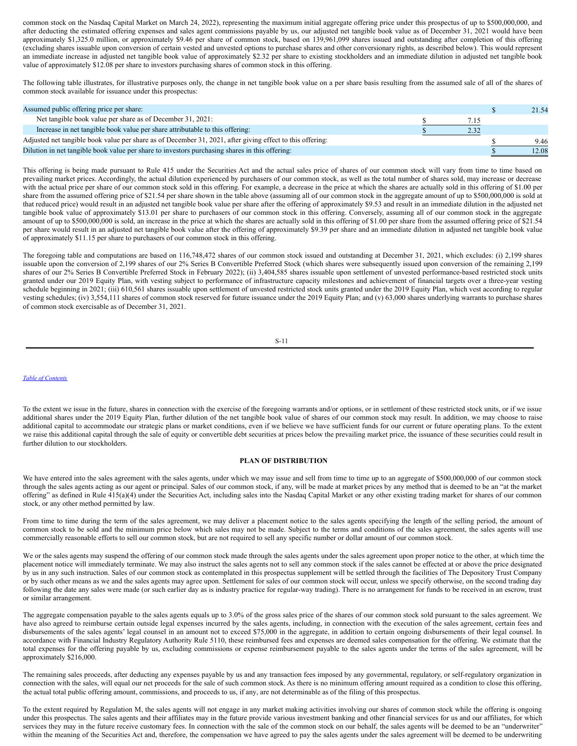common stock on the Nasdaq Capital Market on March 24, 2022), representing the maximum initial aggregate offering price under this prospectus of up to \$500,000,000, and after deducting the estimated offering expenses and sales agent commissions payable by us, our adjusted net tangible book value as of December 31, 2021 would have been approximately \$1,325.0 million, or approximately \$9.46 per share of common stock, based on 139,961,099 shares issued and outstanding after completion of this offering (excluding shares issuable upon conversion of certain vested and unvested options to purchase shares and other conversionary rights, as described below). This would represent an immediate increase in adjusted net tangible book value of approximately \$2.32 per share to existing stockholders and an immediate dilution in adjusted net tangible book value of approximately \$12.08 per share to investors purchasing shares of common stock in this offering.

The following table illustrates, for illustrative purposes only, the change in net tangible book value on a per share basis resulting from the assumed sale of all of the shares of common stock available for issuance under this prospectus:

| Assumed public offering price per share:                                                                  |      | 21.54 |
|-----------------------------------------------------------------------------------------------------------|------|-------|
| Net tangible book value per share as of December 31, 2021:                                                |      |       |
| Increase in net tangible book value per share attributable to this offering:                              | 2.32 |       |
| Adjusted net tangible book value per share as of December 31, 2021, after giving effect to this offering: |      | 9.46  |
| Dilution in net tangible book value per share to investors purchasing shares in this offering:            |      | 12.08 |

This offering is being made pursuant to Rule 415 under the Securities Act and the actual sales price of shares of our common stock will vary from time to time based on prevailing market prices. Accordingly, the actual dilution experienced by purchasers of our common stock, as well as the total number of shares sold, may increase or decrease with the actual price per share of our common stock sold in this offering. For example, a decrease in the price at which the shares are actually sold in this offering of \$1.00 per share from the assumed offering price of \$21.54 per share shown in the table above (assuming all of our common stock in the aggregate amount of up to \$500,000,000 is sold at that reduced price) would result in an adjusted net tangible book value per share after the offering of approximately \$9.53 and result in an immediate dilution in the adjusted net tangible book value of approximately \$13.01 per share to purchasers of our common stock in this offering. Conversely, assuming all of our common stock in the aggregate amount of up to \$500,000,000 is sold, an increase in the price at which the shares are actually sold in this offering of \$1.00 per share from the assumed offering price of \$21.54 per share would result in an adjusted net tangible book value after the offering of approximately \$9.39 per share and an immediate dilution in adjusted net tangible book value of approximately \$11.15 per share to purchasers of our common stock in this offering.

The foregoing table and computations are based on 116,748,472 shares of our common stock issued and outstanding at December 31, 2021, which excludes: (i) 2,199 shares issuable upon the conversion of 2,199 shares of our 2% Series B Convertible Preferred Stock (which shares were subsequently issued upon conversion of the remaining 2,199 shares of our 2% Series B Convertible Preferred Stock in February 2022); (ii) 3,404,585 shares issuable upon settlement of unvested performance-based restricted stock units granted under our 2019 Equity Plan, with vesting subject to performance of infrastructure capacity milestones and achievement of financial targets over a three-year vesting schedule beginning in 2021; (iii) 610,561 shares issuable upon settlement of unvested restricted stock units granted under the 2019 Equity Plan, which vest according to regular vesting schedules; (iv) 3,554,111 shares of common stock reserved for future issuance under the 2019 Equity Plan; and (v) 63,000 shares underlying warrants to purchase shares of common stock exercisable as of December 31, 2021.

#### *Table of [Contents](#page-0-0)*

To the extent we issue in the future, shares in connection with the exercise of the foregoing warrants and/or options, or in settlement of these restricted stock units, or if we issue additional shares under the 2019 Equity Plan, further dilution of the net tangible book value of shares of our common stock may result. In addition, we may choose to raise additional capital to accommodate our strategic plans or market conditions, even if we believe we have sufficient funds for our current or future operating plans. To the extent we raise this additional capital through the sale of equity or convertible debt securities at prices below the prevailing market price, the issuance of these securities could result in further dilution to our stockholders.

### <span id="page-8-0"></span>**PLAN OF DISTRIBUTION**

We have entered into the sales agreement with the sales agents, under which we may issue and sell from time to time up to an aggregate of \$500,000,000 of our common stock through the sales agents acting as our agent or principal. Sales of our common stock, if any, will be made at market prices by any method that is deemed to be an "at the market offering" as defined in Rule 415(a)(4) under the Securities Act, including sales into the Nasdaq Capital Market or any other existing trading market for shares of our common stock, or any other method permitted by law.

From time to time during the term of the sales agreement, we may deliver a placement notice to the sales agents specifying the length of the selling period, the amount of common stock to be sold and the minimum price below which sales may not be made. Subject to the terms and conditions of the sales agreement, the sales agents will use commercially reasonable efforts to sell our common stock, but are not required to sell any specific number or dollar amount of our common stock.

We or the sales agents may suspend the offering of our common stock made through the sales agents under the sales agreement upon proper notice to the other, at which time the placement notice will immediately terminate. We may also instruct the sales agents not to sell any common stock if the sales cannot be effected at or above the price designated by us in any such instruction. Sales of our common stock as contemplated in this prospectus supplement will be settled through the facilities of The Depository Trust Company or by such other means as we and the sales agents may agree upon. Settlement for sales of our common stock will occur, unless we specify otherwise, on the second trading day following the date any sales were made (or such earlier day as is industry practice for regular-way trading). There is no arrangement for funds to be received in an escrow, trust or similar arrangement.

The aggregate compensation payable to the sales agents equals up to 3.0% of the gross sales price of the shares of our common stock sold pursuant to the sales agreement. We have also agreed to reimburse certain outside legal expenses incurred by the sales agents, including, in connection with the execution of the sales agreement, certain fees and disbursements of the sales agents' legal counsel in an amount not to exceed \$75,000 in the aggregate, in addition to certain ongoing disbursements of their legal counsel. In accordance with Financial Industry Regulatory Authority Rule 5110, these reimbursed fees and expenses are deemed sales compensation for the offering. We estimate that the total expenses for the offering payable by us, excluding commissions or expense reimbursement payable to the sales agents under the terms of the sales agreement, will be approximately \$216,000.

The remaining sales proceeds, after deducting any expenses payable by us and any transaction fees imposed by any governmental, regulatory, or self-regulatory organization in connection with the sales, will equal our net proceeds for the sale of such common stock. As there is no minimum offering amount required as a condition to close this offering, the actual total public offering amount, commissions, and proceeds to us, if any, are not determinable as of the filing of this prospectus.

To the extent required by Regulation M, the sales agents will not engage in any market making activities involving our shares of common stock while the offering is ongoing under this prospectus. The sales agents and their affiliates may in the future provide various investment banking and other financial services for us and our affiliates, for which services they may in the future receive customary fees. In connection with the sale of the common stock on our behalf, the sales agents will be deemed to be an "underwriter" within the meaning of the Securities Act and, therefore, the compensation we have agreed to pay the sales agents under the sales agreement will be deemed to be underwriting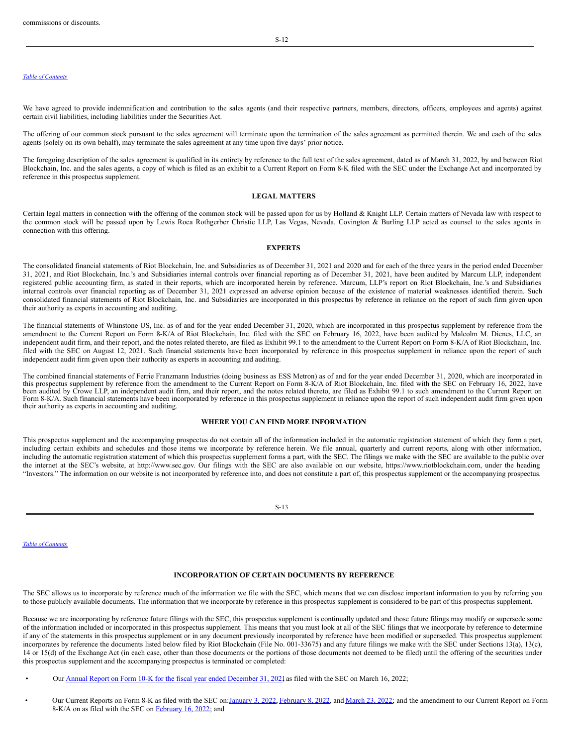#### *Table of [Contents](#page-0-0)*

We have agreed to provide indemnification and contribution to the sales agents (and their respective partners, members, directors, officers, employees and agents) against certain civil liabilities, including liabilities under the Securities Act.

The offering of our common stock pursuant to the sales agreement will terminate upon the termination of the sales agreement as permitted therein. We and each of the sales agents (solely on its own behalf), may terminate the sales agreement at any time upon five days' prior notice.

The foregoing description of the sales agreement is qualified in its entirety by reference to the full text of the sales agreement, dated as of March 31, 2022, by and between Riot Blockchain, Inc. and the sales agents, a copy of which is filed as an exhibit to a Current Report on Form 8-K filed with the SEC under the Exchange Act and incorporated by reference in this prospectus supplement.

### <span id="page-9-2"></span>**LEGAL MATTERS**

Certain legal matters in connection with the offering of the common stock will be passed upon for us by Holland & Knight LLP. Certain matters of Nevada law with respect to the common stock will be passed upon by Lewis Roca Rothgerber Christie LLP, Las Vegas, Nevada. Covington & Burling LLP acted as counsel to the sales agents in connection with this offering.

### <span id="page-9-3"></span>**EXPERTS**

The consolidated financial statements of Riot Blockchain, Inc. and Subsidiaries as of December 31, 2021 and 2020 and for each of the three years in the period ended December 31, 2021, and Riot Blockchain, Inc.'s and Subsidiaries internal controls over financial reporting as of December 31, 2021, have been audited by Marcum LLP, independent registered public accounting firm, as stated in their reports, which are incorporated herein by reference. Marcum, LLP's report on Riot Blockchain, Inc.'s and Subsidiaries internal controls over financial reporting as of December 31, 2021 expressed an adverse opinion because of the existence of material weaknesses identified therein. Such consolidated financial statements of Riot Blockchain, Inc. and Subsidiaries are incorporated in this prospectus by reference in reliance on the report of such firm given upon their authority as experts in accounting and auditing.

The financial statements of Whinstone US, Inc. as of and for the year ended December 31, 2020, which are incorporated in this prospectus supplement by reference from the amendment to the Current Report on Form 8-K/A of Riot Blockchain, Inc. filed with the SEC on February 16, 2022, have been audited by Malcolm M. Dienes, LLC, an independent audit firm, and their report, and the notes related thereto, are filed as Exhibit 99.1 to the amendment to the Current Report on Form 8-K/A of Riot Blockchain, Inc. filed with the SEC on August 12, 2021. Such financial statements have been incorporated by reference in this prospectus supplement in reliance upon the report of such independent audit firm given upon their authority as experts in accounting and auditing.

The combined financial statements of Ferrie Franzmann Industries (doing business as ESS Metron) as of and for the year ended December 31, 2020, which are incorporated in this prospectus supplement by reference from the amendment to the Current Report on Form 8-K/A of Riot Blockchain, Inc. filed with the SEC on February 16, 2022, have<br>been audited by Crowe LLP, an independent audit firm, an Form 8-K/A. Such financial statements have been incorporated by reference in this prospectus supplement in reliance upon the report of such independent audit firm given upon their authority as experts in accounting and auditing.

#### <span id="page-9-0"></span>**WHERE YOU CAN FIND MORE INFORMATION**

This prospectus supplement and the accompanying prospectus do not contain all of the information included in the automatic registration statement of which they form a part, including certain exhibits and schedules and those items we incorporate by reference herein. We file annual, quarterly and current reports, along with other information, including the automatic registration statement of which this prospectus supplement forms a part, with the SEC. The filings we make with the SEC are available to the public over the internet at the SEC's website, at http://www.sec.gov. Our filings with the SEC are also available on our website, https://www.riotblockchain.com, under the heading "Investors." The information on our website is not incorporated by reference into, and does not constitute a part of, this prospectus supplement or the accompanying prospectus.

S-13

*Table of [Contents](#page-0-0)*

## <span id="page-9-1"></span>**INCORPORATION OF CERTAIN DOCUMENTS BY REFERENCE**

The SEC allows us to incorporate by reference much of the information we file with the SEC, which means that we can disclose important information to you by referring you to those publicly available documents. The information that we incorporate by reference in this prospectus supplement is considered to be part of this prospectus supplement.

Because we are incorporating by reference future filings with the SEC, this prospectus supplement is continually updated and those future filings may modify or supersede some of the information included or incorporated in this prospectus supplement. This means that you must look at all of the SEC filings that we incorporate by reference to determine if any of the statements in this prospectus supplement or in any document previously incorporated by reference have been modified or superseded. This prospectus supplement incorporates by reference the documents listed below filed by Riot Blockchain (File No. 001-33675) and any future filings we make with the SEC under Sections 13(a), 13(c), 14 or 15(d) of the Exchange Act (in each case, other than those documents or the portions of those documents not deemed to be filed) until the offering of the securities under this prospectus supplement and the accompanying prospectus is terminated or completed:

- Our Annual Report on Form 10-K for the fiscal year ended [December](http://www.sec.gov/Archives/edgar/data/1167419/000107997322000280/riot10k1221.htm) 31, 2021, as filed with the SEC on March 16, 2022;
- Our Current Reports on Form 8-K as filed with the SEC on:*[January](http://www.sec.gov/Archives/edgar/data/1167419/000107997322000003/riot_8k.htm) 3, 2022, [February](http://www.sec.gov/Archives/edgar/data/1167419/000107997322000135/riot_8k.htm) 8, 2022, and [March](http://www.sec.gov/Archives/edgar/data/1167419/000107997322000332/riot_8k.htm) 23, 2022;* and the amendment to our Current Report on Form 8-K/A on as filed with the SEC on [February](http://www.sec.gov/Archives/edgar/data/1167419/000107997322000161/riot_8ka.htm) 16, 2022; and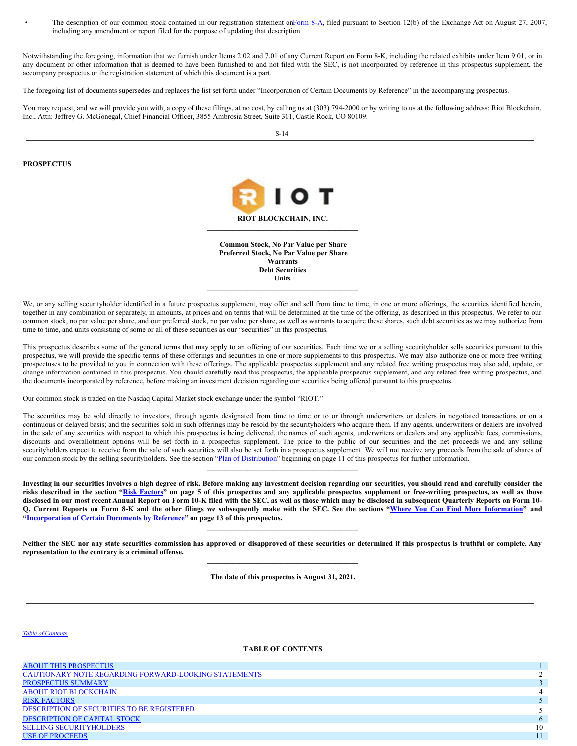The description of our common stock contained in our registration statement o[nForm](http://www.sec.gov/Archives/edgar/data/1167419/000107997307000759/apnb_form8a-082207.htm) 8-A, filed pursuant to Section 12(b) of the Exchange Act on August 27, 2007, including any amendment or report filed for the purpose of updating that description.

Notwithstanding the foregoing, information that we furnish under Items 2.02 and 7.01 of any Current Report on Form 8-K, including the related exhibits under Item 9.01, or in any document or other information that is deemed to have been furnished to and not filed with the SEC, is not incorporated by reference in this prospectus supplement, the accompany prospectus or the registration statement of which this document is a part.

The foregoing list of documents supersedes and replaces the list set forth under "Incorporation of Certain Documents by Reference" in the accompanying prospectus.

You may request, and we will provide you with, a copy of these filings, at no cost, by calling us at (303) 794-2000 or by writing to us at the following address: Riot Blockchain, Inc., Attn: Jeffrey G. McGonegal, Chief Financial Officer, 3855 Ambrosia Street, Suite 301, Castle Rock, CO 80109.

S-14

## **PROSPECTUS**



**Common Stock, No Par Value per Share Preferred Stock, No Par Value per Share Warrants Debt Securities Units \_\_\_\_\_\_\_\_\_\_\_\_\_\_\_\_\_\_\_\_\_\_\_\_\_\_\_\_\_\_\_\_\_\_\_\_\_\_\_\_\_**

We, or any selling securityholder identified in a future prospectus supplement, may offer and sell from time to time, in one or more offerings, the securities identified herein, together in any combination or separately, in amounts, at prices and on terms that will be determined at the time of the offering, as described in this prospectus. We refer to our common stock, no par value per share, and our preferred stock, no par value per share, as well as warrants to acquire these shares, such debt securities as we may authorize from time to time, and units consisting of some or all of these securities as our "securities" in this prospectus.

This prospectus describes some of the general terms that may apply to an offering of our securities. Each time we or a selling securityholder sells securities pursuant to this prospectus, we will provide the specific terms of these offerings and securities in one or more supplements to this prospectus. We may also authorize one or more free writing prospectuses to be provided to you in connection with these offerings. The applicable prospectus supplement and any related free writing prospectus may also add, update, or change information contained in this prospectus. You should carefully read this prospectus, the applicable prospectus supplement, and any related free writing prospectus, and the documents incorporated by reference, before making an investment decision regarding our securities being offered pursuant to this prospectus.

Our common stock is traded on the Nasdaq Capital Market stock exchange under the symbol "RIOT."

The securities may be sold directly to investors, through agents designated from time to time or to or through underwriters or dealers in negotiated transactions or on a continuous or delayed basis; and the securities sold in such offerings may be resold by the securityholders who acquire them. If any agents, underwriters or dealers are involved in the sale of any securities with respect to which this prospectus is being delivered, the names of such agents, underwriters or dealers and any applicable fees, commissions, discounts and overallotment options will be set forth in a prospectus supplement. The price to the public of our securities and the net proceeds we and any selling securityholders expect to receive from the sale of such securities will also be set forth in a prospectus supplement. We will not receive any proceeds from the sale of shares of our common stock by the selling securityholders. See the section "Plan of [Distribution](#page-17-2)" beginning on page 11 of this prospectus for further information.

 $\mathcal{L} = \{ \mathcal{L} \}$ 

Investing in our securities involves a high degree of risk. Before making any investment decision regarding our securities, you should read and carefully consider the risks described in the section "Risk [Factors](#page-13-0)" on page 5 of this prospectus and any applicable prospectus supplement or free-writing prospectus, as well as those disclosed in our most recent Annual Report on Form 10-K filed with the SEC, as well as those which may be disclosed in subsequent Ouarterly Reports on Form 10-Q, Current Reports on Form 8-K and the other filings we subsequently make with the SEC. See the sections "Where You Can Find More [Information](#page-18-2)" and **["Incorporation](#page-18-3) of Certain Documents by Reference" on page 13 of this prospectus.**

Neither the SEC nor any state securities commission has approved or disapproved of these securities or determined if this prospectus is truthful or complete. Any **representation to the contrary is a criminal offense.**  $\mathcal{L} = \{ \mathcal{L} \}$ 

 $\mathcal{L} = \{ \mathcal{L} \}$ 

**The date of this prospectus is August 31, 2021.**

### *Table of [Contents](#page-0-0)*

## **TABLE OF CONTENTS**

| <b>ABOUT THIS PROSPECTUS</b>                                |    |
|-------------------------------------------------------------|----|
| <b>CAUTIONARY NOTE REGARDING FORWARD-LOOKING STATEMENTS</b> |    |
| PROSPECTUS SUMMARY                                          |    |
| <b>ABOUT RIOT BLOCKCHAIN</b>                                |    |
| <b>RISK FACTORS</b>                                         |    |
| DESCRIPTION OF SECURITIES TO BE REGISTERED                  |    |
| <b>DESCRIPTION OF CAPITAL STOCK</b>                         |    |
| <b>SELLING SECURITYHOLDERS</b>                              | 10 |
| <b>USE OF PROCEEDS</b>                                      |    |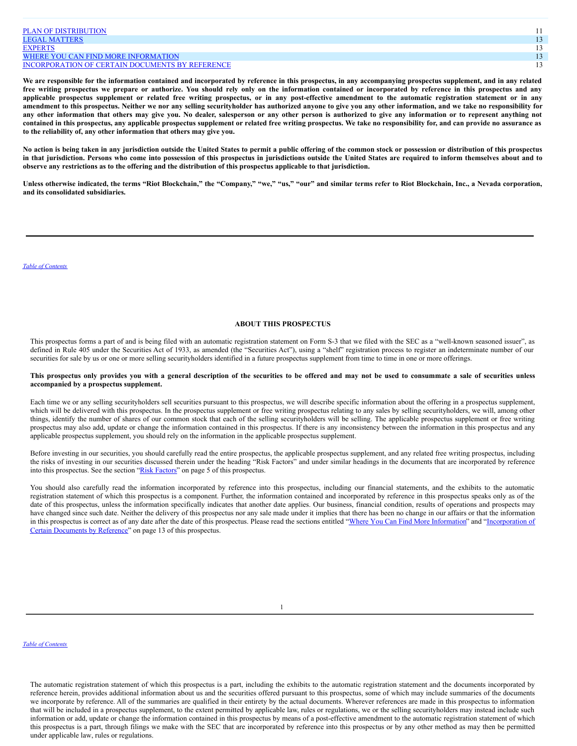| <b>PLAN OF DISTRIBUTION</b>                            |  |
|--------------------------------------------------------|--|
| <b>LEGAL MATTERS</b>                                   |  |
| <b>EXPERTS</b>                                         |  |
| WHERE YOU CAN FIND MORE INFORMATION                    |  |
| <b>INCORPORATION OF CERTAIN DOCUMENTS BY REFERENCE</b> |  |

We are responsible for the information contained and incorporated by reference in this prospectus, in any accompanying prospectus supplement, and in any related free writing prospectus we prepare or authorize. You should rely only on the information contained or incorporated by reference in this prospectus and any applicable prospectus supplement or related free writing prospectus, or in any post-effective amendment to the automatic registration statement or in any amendment to this prospectus. Neither we nor any selling securityholder has authorized anyone to give you any other information, and we take no responsibility for any other information that others may give you. No dealer, salesperson or any other person is authorized to give any information or to represent anything not contained in this prospectus, any applicable prospectus supplement or related free writing prospectus. We take no responsibility for, and can provide no assurance as **to the reliability of, any other information that others may give you.**

No action is being taken in any jurisdiction outside the United States to permit a public offering of the common stock or possession or distribution of this prospectus in that jurisdiction. Persons who come into possession of this prospectus in jurisdictions outside the United States are required to inform themselves about and to observe any restrictions as to the offering and the distribution of this prospectus applicable to that jurisdiction.

Unless otherwise indicated, the terms "Riot Blockchain," the "Company," "we," "us," "our" and similar terms refer to Riot Blockchain, Inc., a Nevada corporation, **and its consolidated subsidiaries.**

#### <span id="page-11-0"></span>*Table of [Contents](#page-0-0)*

### **ABOUT THIS PROSPECTUS**

This prospectus forms a part of and is being filed with an automatic registration statement on Form S-3 that we filed with the SEC as a "well-known seasoned issuer", as defined in Rule 405 under the Securities Act of 1933, as amended (the "Securities Act"), using a "shelf" registration process to register an indeterminate number of our securities for sale by us or one or more selling securityholders identified in a future prospectus supplement from time to time in one or more offerings.

### This prospectus only provides you with a general description of the securities to be offered and may not be used to consummate a sale of securities unless **accompanied by a prospectus supplement.**

Each time we or any selling securityholders sell securities pursuant to this prospectus, we will describe specific information about the offering in a prospectus supplement, which will be delivered with this prospectus. In the prospectus supplement or free writing prospectus relating to any sales by selling securityholders, we will, among other things, identify the number of shares of our common stock that each of the selling securityholders will be selling. The applicable prospectus supplement or free writing prospectus may also add, update or change the information contained in this prospectus. If there is any inconsistency between the information in this prospectus and any applicable prospectus supplement, you should rely on the information in the applicable prospectus supplement.

Before investing in our securities, you should carefully read the entire prospectus, the applicable prospectus supplement, and any related free writing prospectus, including the risks of investing in our securities discussed therein under the heading "Risk Factors" and under similar headings in the documents that are incorporated by reference into this prospectus. See the section "Risk [Factors"](#page-13-0) on page 5 of this prospectus.

You should also carefully read the information incorporated by reference into this prospectus, including our financial statements, and the exhibits to the automatic registration statement of which this prospectus is a component. Further, the information contained and incorporated by reference in this prospectus speaks only as of the date of this prospectus, unless the information specifically indicates that another date applies. Our business, financial condition, results of operations and prospects may have changed since such date. Neither the delivery of this prospectus nor any sale made under it implies that there has been no change in our affairs or that the information in this prospectus is correct as of any date after the date of this prospectus. Please read the sections entitled "Where You Can Find More [Information](#page-18-2)" and ["Incorporation](#page-18-3) of Certain Documents by Reference" on page 13 of this prospectus.

1

#### *Table of [Contents](#page-0-0)*

The automatic registration statement of which this prospectus is a part, including the exhibits to the automatic registration statement and the documents incorporated by reference herein, provides additional information about us and the securities offered pursuant to this prospectus, some of which may include summaries of the documents we incorporate by reference. All of the summaries are qualified in their entirety by the actual documents. Wherever references are made in this prospectus to information that will be included in a prospectus supplement, to the extent permitted by applicable law, rules or regulations, we or the selling securityholders may instead include such information or add, update or change the information contained in this prospectus by means of a post-effective amendment to the automatic registration statement of which this prospectus is a part, through filings we make with the SEC that are incorporated by reference into this prospectus or by any other method as may then be permitted under applicable law, rules or regulations.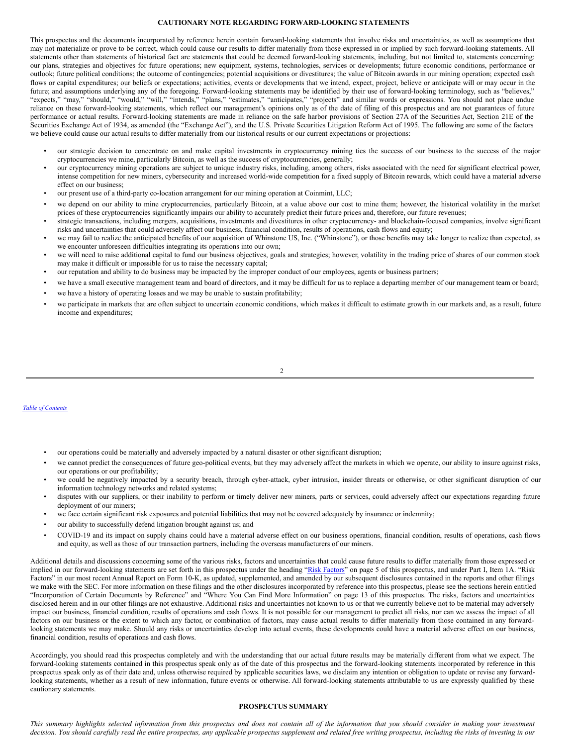### <span id="page-12-0"></span>**CAUTIONARY NOTE REGARDING FORWARD-LOOKING STATEMENTS**

This prospectus and the documents incorporated by reference herein contain forward-looking statements that involve risks and uncertainties, as well as assumptions that may not materialize or prove to be correct, which could cause our results to differ materially from those expressed in or implied by such forward-looking statements. All statements other than statements of historical fact are statements that could be deemed forward-looking statements, including, but not limited to, statements concerning: our plans, strategies and objectives for future operations; new equipment, systems, technologies, services or developments; future economic conditions, performance or outlook; future political conditions; the outcome of contingencies; potential acquisitions or divestitures; the value of Bitcoin awards in our mining operation; expected cash flows or capital expenditures; our beliefs or expectations; activities, events or developments that we intend, expect, project, believe or anticipate will or may occur in the future; and assumptions underlying any of the foregoing. Forward-looking statements may be identified by their use of forward-looking terminology, such as "believes," "expects," "may," "should," "would," "will," "intends," "plans," "estimates," "anticipates," "projects" and similar words or expressions. You should not place undue reliance on these forward-looking statements, which reflect our management's opinions only as of the date of filing of this prospectus and are not guarantees of future performance or actual results. Forward-looking statements are made in reliance on the safe harbor provisions of Section 27A of the Securities Act, Section 21E of the Securities Exchange Act of 1934, as amended (the "Exchange Act"), and the U.S. Private Securities Litigation Reform Act of 1995. The following are some of the factors we believe could cause our actual results to differ materially from our historical results or our current expectations or projections:

- our strategic decision to concentrate on and make capital investments in cryptocurrency mining ties the success of our business to the success of the major cryptocurrencies we mine, particularly Bitcoin, as well as the success of cryptocurrencies, generally;
- our cryptocurrency mining operations are subject to unique industry risks, including, among others, risks associated with the need for significant electrical power, intense competition for new miners, cybersecurity and increased world-wide competition for a fixed supply of Bitcoin rewards, which could have a material adverse effect on our business;
- our present use of a third-party co-location arrangement for our mining operation at Coinmint, LLC;
- we depend on our ability to mine cryptocurrencies, particularly Bitcoin, at a value above our cost to mine them; however, the historical volatility in the market prices of these cryptocurrencies significantly impairs our ability to accurately predict their future prices and, therefore, our future revenues;
- strategic transactions, including mergers, acquisitions, investments and divestitures in other cryptocurrency- and blockchain-focused companies, involve significant risks and uncertainties that could adversely affect our business, financial condition, results of operations, cash flows and equity;
- we may fail to realize the anticipated benefits of our acquisition of Whinstone US, Inc. ("Whinstone"), or those benefits may take longer to realize than expected, as we encounter unforeseen difficulties integrating its operations into our own;
- we will need to raise additional capital to fund our business objectives, goals and strategies; however, volatility in the trading price of shares of our common stock may make it difficult or impossible for us to raise the necessary capital;
- our reputation and ability to do business may be impacted by the improper conduct of our employees, agents or business partners;
- we have a small executive management team and board of directors, and it may be difficult for us to replace a departing member of our management team or board;
- we have a history of operating losses and we may be unable to sustain profitability;
- we participate in markets that are often subject to uncertain economic conditions, which makes it difficult to estimate growth in our markets and, as a result, future income and expenditures;

### 2

### *Table of [Contents](#page-0-0)*

- our operations could be materially and adversely impacted by a natural disaster or other significant disruption;
- we cannot predict the consequences of future geo-political events, but they may adversely affect the markets in which we operate, our ability to insure against risks, our operations or our profitability;
- we could be negatively impacted by a security breach, through cyber-attack, cyber intrusion, insider threats or otherwise, or other significant disruption of our information technology networks and related systems;
- disputes with our suppliers, or their inability to perform or timely deliver new miners, parts or services, could adversely affect our expectations regarding future deployment of our miners;
- we face certain significant risk exposures and potential liabilities that may not be covered adequately by insurance or indemnity;
- our ability to successfully defend litigation brought against us; and
- COVID-19 and its impact on supply chains could have a material adverse effect on our business operations, financial condition, results of operations, cash flows and equity, as well as those of our transaction partners, including the overseas manufacturers of our miners.

Additional details and discussions concerning some of the various risks, factors and uncertainties that could cause future results to differ materially from those expressed or implied in our forward-looking statements are set forth in this prospectus under the heading "Risk [Factors](#page-13-0)" on page 5 of this prospectus, and under Part I, Item 1A. "Risk Factors" in our most recent Annual Report on Form 10-K, as updated, supplemented, and amended by our subsequent disclosures contained in the reports and other filings we make with the SEC. For more information on these filings and the other disclosures incorporated by reference into this prospectus, please see the sections herein entitled "Incorporation of Certain Documents by Reference" and "Where You Can Find More Information" on page 13 of this prospectus. The risks, factors and uncertainties disclosed herein and in our other filings are not exhaustive. Additional risks and uncertainties not known to us or that we currently believe not to be material may adversely impact our business, financial condition, results of operations and cash flows. It is not possible for our management to predict all risks, nor can we assess the impact of all factors on our business or the extent to which any factor, or combination of factors, may cause actual results to differ materially from those contained in any forwardlooking statements we may make. Should any risks or uncertainties develop into actual events, these developments could have a material adverse effect on our business, financial condition, results of operations and cash flows.

Accordingly, you should read this prospectus completely and with the understanding that our actual future results may be materially different from what we expect. The forward-looking statements contained in this prospectus speak only as of the date of this prospectus and the forward-looking statements incorporated by reference in this prospectus speak only as of their date and, unless otherwise required by applicable securities laws, we disclaim any intention or obligation to update or revise any forwardlooking statements, whether as a result of new information, future events or otherwise. All forward-looking statements attributable to us are expressly qualified by these cautionary statements.

#### <span id="page-12-1"></span>**PROSPECTUS SUMMARY**

This summary highlights selected information from this prospectus and does not contain all of the information that you should consider in making your investment decision. You should carefully read the entire prospectus, any applicable prospectus supplement and related free writing prospectus, including the risks of investing in our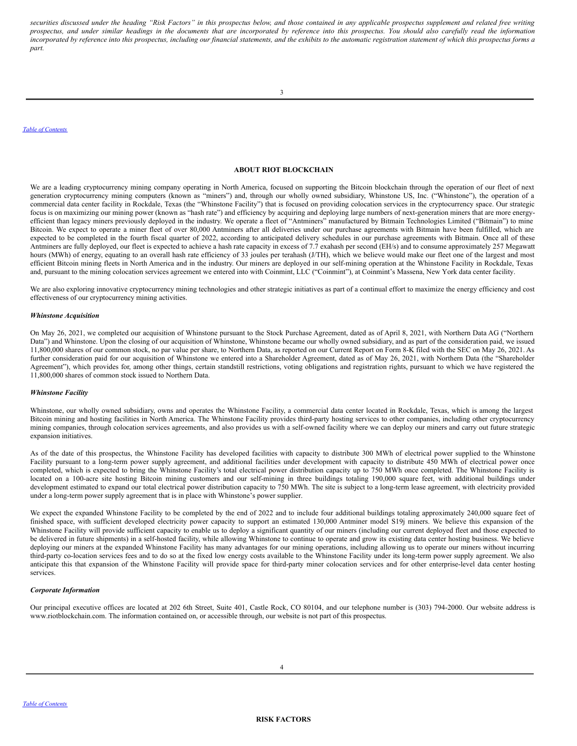securities discussed under the heading "Risk Factors" in this prospectus below, and those contained in any applicable prospectus supplement and related free writing prospectus, and under similar headings in the documents that are incorporated by reference into this prospectus. You should also carefully read the information incorporated by reference into this prospectus, including our financial statements, and the exhibits to the automatic registration statement of which this prospectus forms a *part.*

3

*Table of [Contents](#page-0-0)*

# <span id="page-13-1"></span>**ABOUT RIOT BLOCKCHAIN**

We are a leading cryptocurrency mining company operating in North America, focused on supporting the Bitcoin blockchain through the operation of our fleet of next generation cryptocurrency mining computers (known as "miners") and, through our wholly owned subsidiary, Whinstone US, Inc. ("Whinstone"), the operation of a commercial data center facility in Rockdale, Texas (the "Whinstone Facility") that is focused on providing colocation services in the cryptocurrency space. Our strategic focus is on maximizing our mining power (known as "hash rate") and efficiency by acquiring and deploying large numbers of next-generation miners that are more energyefficient than legacy miners previously deployed in the industry. We operate a fleet of "Antminers" manufactured by Bitmain Technologies Limited ("Bitmain") to mine Bitcoin. We expect to operate a miner fleet of over 80,000 Antminers after all deliveries under our purchase agreements with Bitmain have been fulfilled, which are expected to be completed in the fourth fiscal quarter of 2022, according to anticipated delivery schedules in our purchase agreements with Bitmain. Once all of these Antminers are fully deployed, our fleet is expected to achieve a hash rate capacity in excess of 7.7 exahash per second (EH/s) and to consume approximately 257 Megawatt hours (MWh) of energy, equating to an overall hash rate efficiency of 33 joules per terahash (J/TH), which we believe would make our fleet one of the largest and most efficient Bitcoin mining fleets in North America and in the industry. Our miners are deployed in our self-mining operation at the Whinstone Facility in Rockdale, Texas and, pursuant to the mining colocation services agreement we entered into with Coinmint, LLC ("Coinmint"), at Coinmint's Massena, New York data center facility.

We are also exploring innovative cryptocurrency mining technologies and other strategic initiatives as part of a continual effort to maximize the energy efficiency and cost effectiveness of our cryptocurrency mining activities.

#### *Whinstone Acquisition*

On May 26, 2021, we completed our acquisition of Whinstone pursuant to the Stock Purchase Agreement, dated as of April 8, 2021, with Northern Data AG ("Northern Data") and Whinstone. Upon the closing of our acquisition of Whinstone, Whinstone became our wholly owned subsidiary, and as part of the consideration paid, we issued 11,800,000 shares of our common stock, no par value per share, to Northern Data, as reported on our Current Report on Form 8-K filed with the SEC on May 26, 2021. As further consideration paid for our acquisition of Whinstone we entered into a Shareholder Agreement, dated as of May 26, 2021, with Northern Data (the "Shareholder Agreement"), which provides for, among other things, certain standstill restrictions, voting obligations and registration rights, pursuant to which we have registered the 11,800,000 shares of common stock issued to Northern Data.

## *Whinstone Facility*

Whinstone, our wholly owned subsidiary, owns and operates the Whinstone Facility, a commercial data center located in Rockdale, Texas, which is among the largest Bitcoin mining and hosting facilities in North America. The Whinstone Facility provides third-party hosting services to other companies, including other cryptocurrency mining companies, through colocation services agreements, and also provides us with a self-owned facility where we can deploy our miners and carry out future strategic expansion initiatives.

As of the date of this prospectus, the Whinstone Facility has developed facilities with capacity to distribute 300 MWh of electrical power supplied to the Whinstone Facility pursuant to a long-term power supply agreement, and additional facilities under development with capacity to distribute 450 MWh of electrical power once completed, which is expected to bring the Whinstone Facility's total electrical power distribution capacity up to 750 MWh once completed. The Whinstone Facility is located on a 100-acre site hosting Bitcoin mining customers and our self-mining in three buildings totaling 190,000 square feet, with additional buildings under development estimated to expand our total electrical power distribution capacity to 750 MWh. The site is subject to a long-term lease agreement, with electricity provided under a long-term power supply agreement that is in place with Whinstone's power supplier.

We expect the expanded Whinstone Facility to be completed by the end of 2022 and to include four additional buildings totaling approximately 240,000 square feet of finished space, with sufficient developed electricity power capacity to support an estimated 130,000 Antminer model S19j miners. We believe this expansion of the Whinstone Facility will provide sufficient capacity to enable us to deploy a significant quantity of our miners (including our current deployed fleet and those expected to be delivered in future shipments) in a self-hosted facility, while allowing Whinstone to continue to operate and grow its existing data center hosting business. We believe deploying our miners at the expanded Whinstone Facility has many advantages for our mining operations, including allowing us to operate our miners without incurring third-party co-location services fees and to do so at the fixed low energy costs available to the Whinstone Facility under its long-term power supply agreement. We also anticipate this that expansion of the Whinstone Facility will provide space for third-party miner colocation services and for other enterprise-level data center hosting services.

### *Corporate Information*

<span id="page-13-0"></span>Our principal executive offices are located at 202 6th Street, Suite 401, Castle Rock, CO 80104, and our telephone number is (303) 794-2000. Our website address is www.riotblockchain.com. The information contained on, or accessible through, our website is not part of this prospectus.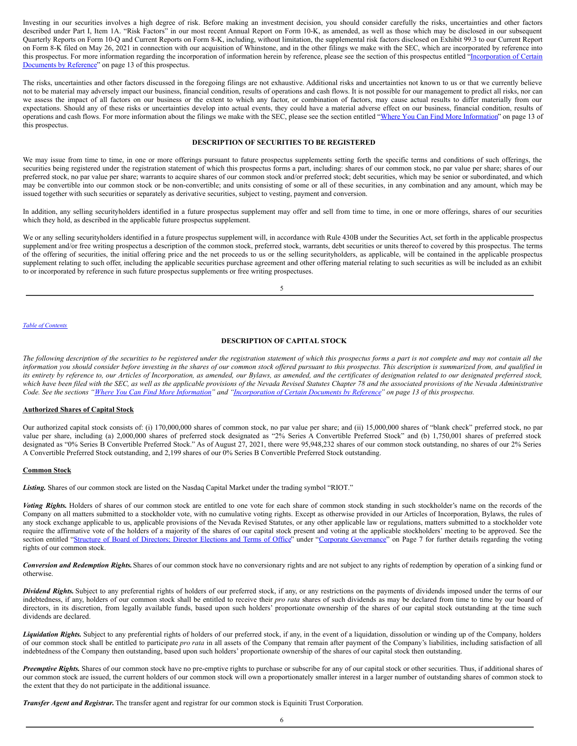Investing in our securities involves a high degree of risk. Before making an investment decision, you should consider carefully the risks, uncertainties and other factors described under Part I, Item 1A. "Risk Factors" in our most recent Annual Report on Form 10-K, as amended, as well as those which may be disclosed in our subsequent Quarterly Reports on Form 10-Q and Current Reports on Form 8-K, including, without limitation, the supplemental risk factors disclosed on Exhibit 99.3 to our Current Report on Form 8-K filed on May 26, 2021 in connection with our acquisition of Whinstone, and in the other filings we make with the SEC, which are incorporated by reference into this prospectus. For more information regarding the incorporation of information herein by reference, please see the section of this prospectus entitled ["Incorporation](#page-18-3) of Certain Documents by Reference" on page 13 of this prospectus.

The risks, uncertainties and other factors discussed in the foregoing filings are not exhaustive. Additional risks and uncertainties not known to us or that we currently believe not to be material may adversely impact our business, financial condition, results of operations and cash flows. It is not possible for our management to predict all risks, nor can we assess the impact of all factors on our business or the extent to which any factor, or combination of factors, may cause actual results to differ materially from our expectations. Should any of these risks or uncertainties develop into actual events, they could have a material adverse effect on our business, financial condition, results of operations and cash flows. For more information about the filings we make with the SEC, please see the section entitled "Where You Can Find More [Information](#page-18-2)" on page 13 of this prospectus.

### <span id="page-14-0"></span>**DESCRIPTION OF SECURITIES TO BE REGISTERED**

We may issue from time to time, in one or more offerings pursuant to future prospectus supplements setting forth the specific terms and conditions of such offerings, the securities being registered under the registration statement of which this prospectus forms a part, including: shares of our common stock, no par value per share; shares of our preferred stock, no par value per share; warrants to acquire shares of our common stock and/or preferred stock; debt securities, which may be senior or subordinated, and which may be convertible into our common stock or be non-convertible; and units consisting of some or all of these securities, in any combination and any amount, which may be issued together with such securities or separately as derivative securities, subject to vesting, payment and conversion.

In addition, any selling securityholders identified in a future prospectus supplement may offer and sell from time to time, in one or more offerings, shares of our securities which they hold, as described in the applicable future prospectus supplement.

We or any selling securityholders identified in a future prospectus supplement will, in accordance with Rule 430B under the Securities Act, set forth in the applicable prospectus supplement and/or free writing prospectus a description of the common stock, preferred stock, warrants, debt securities or units thereof to covered by this prospectus. The terms of the offering of securities, the initial offering price and the net proceeds to us or the selling securityholders, as applicable, will be contained in the applicable prospectus supplement relating to such offer, including the applicable securities purchase agreement and other offering material relating to such securities as will be included as an exhibit to or incorporated by reference in such future prospectus supplements or free writing prospectuses.

5

#### *Table of [Contents](#page-0-0)*

# <span id="page-14-1"></span>**DESCRIPTION OF CAPITAL STOCK**

The following description of the securities to be registered under the registration statement of which this prospectus forms a part is not complete and may not contain all the information you should consider before investing in the shares of our common stock offered pursuant to this prospectus. This description is summarized from, and qualified in its entirety by reference to, our Articles of Incorporation, as amended, our Bylaws, as amended, and the certificates of designation related to our designated preferred stock, which have been filed with the SEC, as well as the applicable provisions of the Nevada Revised Statutes Chapter 78 and the associated provisions of the Nevada Administrative Code. See the sections "Where You Can Find More [Information](#page-18-2)" and ["Incorporation](#page-18-3) of Certain Documents by Reference" on page 13 of this prospectus.

#### **Authorized Shares of Capital Stock**

Our authorized capital stock consists of: (i) 170,000,000 shares of common stock, no par value per share; and (ii) 15,000,000 shares of "blank check" preferred stock, no par value per share, including (a) 2,000,000 shares of preferred stock designated as "2% Series A Convertible Preferred Stock" and (b) 1,750,001 shares of preferred stock designated as "0% Series B Convertible Preferred Stock." As of August 27, 2021, there were 95,948,232 shares of our common stock outstanding, no shares of our 2% Series A Convertible Preferred Stock outstanding, and 2,199 shares of our 0% Series B Convertible Preferred Stock outstanding.

### **Common Stock**

*Listing.* Shares of our common stock are listed on the Nasdaq Capital Market under the trading symbol "RIOT."

*Voting Rights.* Holders of shares of our common stock are entitled to one vote for each share of common stock standing in such stockholder's name on the records of the Company on all matters submitted to a stockholder vote, with no cumulative voting rights. Except as otherwise provided in our Articles of Incorporation, Bylaws, the rules of any stock exchange applicable to us, applicable provisions of the Nevada Revised Statutes, or any other applicable law or regulations, matters submitted to a stockholder vote require the affirmative vote of the holders of a majority of the shares of our capital stock present and voting at the applicable stockholders' meeting to be approved. See the section entitled "Structure of Board of [Directors;](#page-15-0) Director Elections and Terms of Office" under "Corporate [Governance](#page-15-0)" on Page 7 for further details regarding the voting rights of our common stock.

*Conversion and Redemption Rights.*Shares of our common stock have no conversionary rights and are not subject to any rights of redemption by operation of a sinking fund or otherwise.

*Dividend Rights.* Subject to any preferential rights of holders of our preferred stock, if any, or any restrictions on the payments of dividends imposed under the terms of our indebtedness, if any, holders of our common stock shall be entitled to receive their *pro rata* shares of such dividends as may be declared from time to time by our board of directors, in its discretion, from legally available funds, based upon such holders' proportionate ownership of the shares of our capital stock outstanding at the time such dividends are declared.

*Liquidation Rights.* Subject to any preferential rights of holders of our preferred stock, if any, in the event of a liquidation, dissolution or winding up of the Company, holders of our common stock shall be entitled to participate *pro rata* in all assets of the Company that remain after payment of the Company's liabilities, including satisfaction of all indebtedness of the Company then outstanding, based upon such holders' proportionate ownership of the shares of our capital stock then outstanding.

*Preemptive Rights.* Shares of our common stock have no pre-emptive rights to purchase or subscribe for any of our capital stock or other securities. Thus, if additional shares of our common stock are issued, the current holders of our common stock will own a proportionately smaller interest in a larger number of outstanding shares of common stock to the extent that they do not participate in the additional issuance.

*Transfer Agent and Registrar.* The transfer agent and registrar for our common stock is Equiniti Trust Corporation.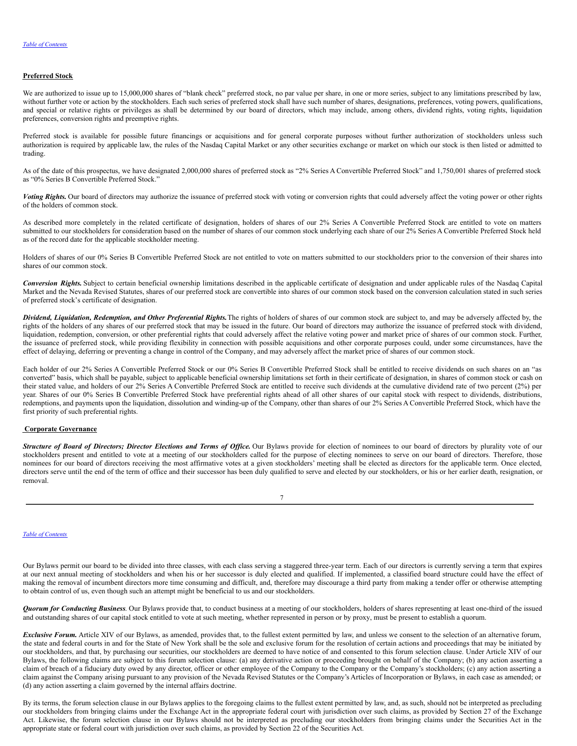### **Preferred Stock**

We are authorized to issue up to 15,000,000 shares of "blank check" preferred stock, no par value per share, in one or more series, subject to any limitations prescribed by law, without further vote or action by the stockholders. Each such series of preferred stock shall have such number of shares, designations, preferences, voting powers, qualifications, and special or relative rights or privileges as shall be determined by our board of directors, which may include, among others, dividend rights, voting rights, liquidation preferences, conversion rights and preemptive rights.

Preferred stock is available for possible future financings or acquisitions and for general corporate purposes without further authorization of stockholders unless such authorization is required by applicable law, the rules of the Nasdaq Capital Market or any other securities exchange or market on which our stock is then listed or admitted to trading.

As of the date of this prospectus, we have designated 2,000,000 shares of preferred stock as "2% Series A Convertible Preferred Stock" and 1,750,001 shares of preferred stock as "0% Series B Convertible Preferred Stock."

*Voting Rights.* Our board of directors may authorize the issuance of preferred stock with voting or conversion rights that could adversely affect the voting power or other rights of the holders of common stock.

As described more completely in the related certificate of designation, holders of shares of our 2% Series A Convertible Preferred Stock are entitled to vote on matters submitted to our stockholders for consideration based on the number of shares of our common stock underlying each share of our 2% Series A Convertible Preferred Stock held as of the record date for the applicable stockholder meeting.

Holders of shares of our 0% Series B Convertible Preferred Stock are not entitled to vote on matters submitted to our stockholders prior to the conversion of their shares into shares of our common stock.

*Conversion Rights.* Subject to certain beneficial ownership limitations described in the applicable certificate of designation and under applicable rules of the Nasdaq Capital Market and the Nevada Revised Statutes, shares of our preferred stock are convertible into shares of our common stock based on the conversion calculation stated in such series of preferred stock's certificate of designation.

*Dividend, Liquidation, Redemption, and Other Preferential Rights.*The rights of holders of shares of our common stock are subject to, and may be adversely affected by, the rights of the holders of any shares of our preferred stock that may be issued in the future. Our board of directors may authorize the issuance of preferred stock with dividend, liquidation, redemption, conversion, or other preferential rights that could adversely affect the relative voting power and market price of shares of our common stock. Further, the issuance of preferred stock, while providing flexibility in connection with possible acquisitions and other corporate purposes could, under some circumstances, have the effect of delaying, deferring or preventing a change in control of the Company, and may adversely affect the market price of shares of our common stock.

Each holder of our 2% Series A Convertible Preferred Stock or our 0% Series B Convertible Preferred Stock shall be entitled to receive dividends on such shares on an "as converted" basis, which shall be payable, subject to applicable beneficial ownership limitations set forth in their certificate of designation, in shares of common stock or cash on their stated value, and holders of our 2% Series A Convertible Preferred Stock are entitled to receive such dividends at the cumulative dividend rate of two percent (2%) per year. Shares of our 0% Series B Convertible Preferred Stock have preferential rights ahead of all other shares of our capital stock with respect to dividends, distributions, redemptions, and payments upon the liquidation, dissolution and winding-up of the Company, other than shares of our 2% Series A Convertible Preferred Stock, which have the first priority of such preferential rights.

### <span id="page-15-0"></span>**Corporate Governance**

Structure of Board of Directors; Director Elections and Terms of Office. Our Bylaws provide for election of nominees to our board of directors by plurality vote of our stockholders present and entitled to vote at a meeting of our stockholders called for the purpose of electing nominees to serve on our board of directors. Therefore, those nominees for our board of directors receiving the most affirmative votes at a given stockholders' meeting shall be elected as directors for the applicable term. Once elected, directors serve until the end of the term of office and their successor has been duly qualified to serve and elected by our stockholders, or his or her earlier death, resignation, or removal.

| I |  |
|---|--|

### *Table of [Contents](#page-0-0)*

Our Bylaws permit our board to be divided into three classes, with each class serving a staggered three-year term. Each of our directors is currently serving a term that expires at our next annual meeting of stockholders and when his or her successor is duly elected and qualified. If implemented, a classified board structure could have the effect of making the removal of incumbent directors more time consuming and difficult, and, therefore may discourage a third party from making a tender offer or otherwise attempting to obtain control of us, even though such an attempt might be beneficial to us and our stockholders.

*Quorum for Conducting Business*. Our Bylaws provide that, to conduct business at a meeting of our stockholders, holders of shares representing at least one-third of the issued and outstanding shares of our capital stock entitled to vote at such meeting, whether represented in person or by proxy, must be present to establish a quorum.

*Exclusive Forum.* Article XIV of our Bylaws, as amended, provides that, to the fullest extent permitted by law, and unless we consent to the selection of an alternative forum, the state and federal courts in and for the State of New York shall be the sole and exclusive forum for the resolution of certain actions and proceedings that may be initiated by our stockholders, and that, by purchasing our securities, our stockholders are deemed to have notice of and consented to this forum selection clause. Under Article XIV of our Bylaws, the following claims are subject to this forum selection clause: (a) any derivative action or proceeding brought on behalf of the Company; (b) any action asserting a claim of breach of a fiduciary duty owed by any director, officer or other employee of the Company to the Company or the Company's stockholders; (c) any action asserting a claim against the Company arising pursuant to any provision of the Nevada Revised Statutes or the Company's Articles of Incorporation or Bylaws, in each case as amended; or (d) any action asserting a claim governed by the internal affairs doctrine.

By its terms, the forum selection clause in our Bylaws applies to the foregoing claims to the fullest extent permitted by law, and, as such, should not be interpreted as precluding our stockholders from bringing claims under the Exchange Act in the appropriate federal court with jurisdiction over such claims, as provided by Section 27 of the Exchange Act. Likewise, the forum selection clause in our Bylaws should not be interpreted as precluding our stockholders from bringing claims under the Securities Act in the appropriate state or federal court with jurisdiction over such claims, as provided by Section 22 of the Securities Act.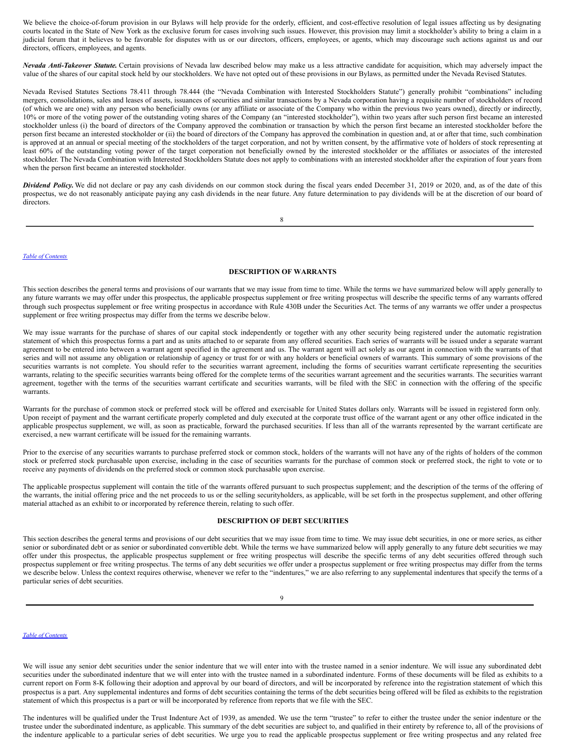We believe the choice-of-forum provision in our Bylaws will help provide for the orderly, efficient, and cost-effective resolution of legal issues affecting us by designating courts located in the State of New York as the exclusive forum for cases involving such issues. However, this provision may limit a stockholder's ability to bring a claim in a judicial forum that it believes to be favorable for disputes with us or our directors, officers, employees, or agents, which may discourage such actions against us and our directors, officers, employees, and agents.

*Nevada Anti-Takeover Statute.* Certain provisions of Nevada law described below may make us a less attractive candidate for acquisition, which may adversely impact the value of the shares of our capital stock held by our stockholders. We have not opted out of these provisions in our Bylaws, as permitted under the Nevada Revised Statutes.

Nevada Revised Statutes Sections 78.411 through 78.444 (the "Nevada Combination with Interested Stockholders Statute") generally prohibit "combinations" including mergers, consolidations, sales and leases of assets, issuances of securities and similar transactions by a Nevada corporation having a requisite number of stockholders of record (of which we are one) with any person who beneficially owns (or any affiliate or associate of the Company who within the previous two years owned), directly or indirectly, 10% or more of the voting power of the outstanding voting shares of the Company (an "interested stockholder"), within two years after such person first became an interested stockholder unless (i) the board of directors of the Company approved the combination or transaction by which the person first became an interested stockholder before the person first became an interested stockholder or (ii) the board of directors of the Company has approved the combination in question and, at or after that time, such combination is approved at an annual or special meeting of the stockholders of the target corporation, and not by written consent, by the affirmative vote of holders of stock representing at least 60% of the outstanding voting power of the target corporation not beneficially owned by the interested stockholder or the affiliates or associates of the interested stockholder. The Nevada Combination with Interested Stockholders Statute does not apply to combinations with an interested stockholder after the expiration of four years from when the person first became an interested stockholder.

*Dividend Policy.*We did not declare or pay any cash dividends on our common stock during the fiscal years ended December 31, 2019 or 2020, and, as of the date of this prospectus, we do not reasonably anticipate paying any cash dividends in the near future. Any future determination to pay dividends will be at the discretion of our board of directors.

8

#### *Table of [Contents](#page-0-0)*

### **DESCRIPTION OF WARRANTS**

This section describes the general terms and provisions of our warrants that we may issue from time to time. While the terms we have summarized below will apply generally to any future warrants we may offer under this prospectus, the applicable prospectus supplement or free writing prospectus will describe the specific terms of any warrants offered through such prospectus supplement or free writing prospectus in accordance with Rule 430B under the Securities Act. The terms of any warrants we offer under a prospectus supplement or free writing prospectus may differ from the terms we describe below.

We may issue warrants for the purchase of shares of our capital stock independently or together with any other security being registered under the automatic registration statement of which this prospectus forms a part and as units attached to or separate from any offered securities. Each series of warrants will be issued under a separate warrant agreement to be entered into between a warrant agent specified in the agreement and us. The warrant agent will act solely as our agent in connection with the warrants of that series and will not assume any obligation or relationship of agency or trust for or with any holders or beneficial owners of warrants. This summary of some provisions of the securities warrants is not complete. You should refer to the securities warrant agreement, including the forms of securities warrant certificate representing the securities warrants, relating to the specific securities warrants being offered for the complete terms of the securities warrant agreement and the securities warrants. The securities warrant agreement, together with the terms of the securities warrant certificate and securities warrants, will be filed with the SEC in connection with the offering of the specific warrants.

Warrants for the purchase of common stock or preferred stock will be offered and exercisable for United States dollars only. Warrants will be issued in registered form only. Upon receipt of payment and the warrant certificate properly completed and duly executed at the corporate trust office of the warrant agent or any other office indicated in the applicable prospectus supplement, we will, as soon as practicable, forward the purchased securities. If less than all of the warrants represented by the warrant certificate are exercised, a new warrant certificate will be issued for the remaining warrants.

Prior to the exercise of any securities warrants to purchase preferred stock or common stock, holders of the warrants will not have any of the rights of holders of the common stock or preferred stock purchasable upon exercise, including in the case of securities warrants for the purchase of common stock or preferred stock, the right to vote or to receive any payments of dividends on the preferred stock or common stock purchasable upon exercise.

The applicable prospectus supplement will contain the title of the warrants offered pursuant to such prospectus supplement; and the description of the terms of the offering of the warrants, the initial offering price and the net proceeds to us or the selling securityholders, as applicable, will be set forth in the prospectus supplement, and other offering material attached as an exhibit to or incorporated by reference therein, relating to such offer.

### **DESCRIPTION OF DEBT SECURITIES**

This section describes the general terms and provisions of our debt securities that we may issue from time to time. We may issue debt securities, in one or more series, as either senior or subordinated debt or as senior or subordinated convertible debt. While the terms we have summarized below will apply generally to any future debt securities we may offer under this prospectus, the applicable prospectus supplement or free writing prospectus will describe the specific terms of any debt securities offered through such prospectus supplement or free writing prospectus. The terms of any debt securities we offer under a prospectus supplement or free writing prospectus may differ from the terms we describe below. Unless the context requires otherwise, whenever we refer to the "indentures," we are also referring to any supplemental indentures that specify the terms of a particular series of debt securities.

9

#### *Table of [Contents](#page-0-0)*

We will issue any senior debt securities under the senior indenture that we will enter into with the trustee named in a senior indenture. We will issue any subordinated debt securities under the subordinated indenture that we will enter into with the trustee named in a subordinated indenture. Forms of these documents will be filed as exhibits to a current report on Form 8-K following their adoption and approval by our board of directors, and will be incorporated by reference into the registration statement of which this prospectus is a part. Any supplemental indentures and forms of debt securities containing the terms of the debt securities being offered will be filed as exhibits to the registration statement of which this prospectus is a part or will be incorporated by reference from reports that we file with the SEC.

The indentures will be qualified under the Trust Indenture Act of 1939, as amended. We use the term "trustee" to refer to either the trustee under the senior indenture or the trustee under the subordinated indenture, as applicable. This summary of the debt securities are subject to, and qualified in their entirety by reference to, all of the provisions of the indenture applicable to a particular series of debt securities. We urge you to read the applicable prospectus supplement or free writing prospectus and any related free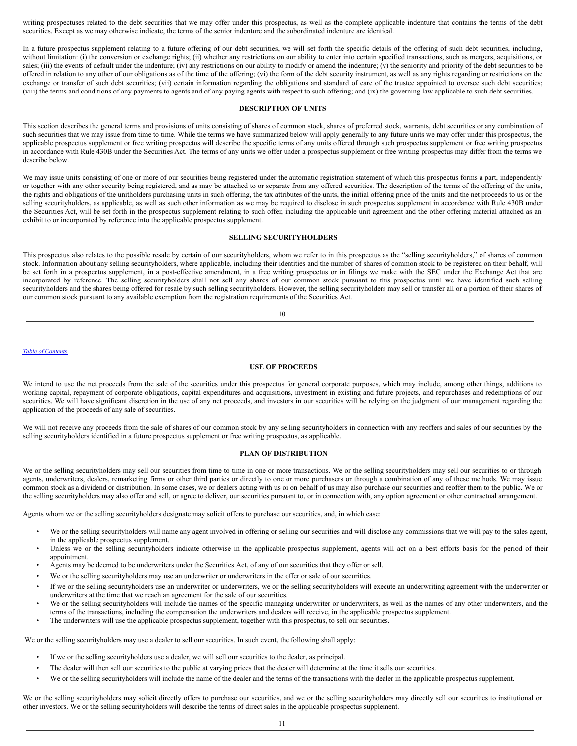writing prospectuses related to the debt securities that we may offer under this prospectus, as well as the complete applicable indenture that contains the terms of the debt securities. Except as we may otherwise indicate, the terms of the senior indenture and the subordinated indenture are identical.

In a future prospectus supplement relating to a future offering of our debt securities, we will set forth the specific details of the offering of such debt securities, including, without limitation: (i) the conversion or exchange rights; (ii) whether any restrictions on our ability to enter into certain specified transactions, such as mergers, acquisitions, or sales; (iii) the events of default under the indenture; (iv) any restrictions on our ability to modify or amend the indenture; (v) the seniority and priority of the debt securities to be offered in relation to any other of our obligations as of the time of the offering; (vi) the form of the debt security instrument, as well as any rights regarding or restrictions on the exchange or transfer of such debt securities; (vii) certain information regarding the obligations and standard of care of the trustee appointed to oversee such debt securities; (viii) the terms and conditions of any payments to agents and of any paying agents with respect to such offering; and (ix) the governing law applicable to such debt securities.

### **DESCRIPTION OF UNITS**

This section describes the general terms and provisions of units consisting of shares of common stock, shares of preferred stock, warrants, debt securities or any combination of such securities that we may issue from time to time. While the terms we have summarized below will apply generally to any future units we may offer under this prospectus, the applicable prospectus supplement or free writing prospectus will describe the specific terms of any units offered through such prospectus supplement or free writing prospectus in accordance with Rule 430B under the Securities Act. The terms of any units we offer under a prospectus supplement or free writing prospectus may differ from the terms we describe below.

We may issue units consisting of one or more of our securities being registered under the automatic registration statement of which this prospectus forms a part, independently or together with any other security being registered, and as may be attached to or separate from any offered securities. The description of the terms of the offering of the units, the rights and obligations of the unitholders purchasing units in such offering, the tax attributes of the units, the initial offering price of the units and the net proceeds to us or the selling securityholders, as applicable, as well as such other information as we may be required to disclose in such prospectus supplement in accordance with Rule 430B under the Securities Act, will be set forth in the prospectus supplement relating to such offer, including the applicable unit agreement and the other offering material attached as an exhibit to or incorporated by reference into the applicable prospectus supplement.

# <span id="page-17-0"></span>**SELLING SECURITYHOLDERS**

This prospectus also relates to the possible resale by certain of our securityholders, whom we refer to in this prospectus as the "selling securityholders," of shares of common stock. Information about any selling securityholders, where applicable, including their identities and the number of shares of common stock to be registered on their behalf, will be set forth in a prospectus supplement, in a post-effective amendment, in a free writing prospectus or in filings we make with the SEC under the Exchange Act that are incorporated by reference. The selling securityholders shall not sell any shares of our common stock pursuant to this prospectus until we have identified such selling securityholders and the shares being offered for resale by such selling securityholders. However, the selling securityholders may sell or transfer all or a portion of their shares of our common stock pursuant to any available exemption from the registration requirements of the Securities Act.

10

### *Table of [Contents](#page-0-0)*

# <span id="page-17-1"></span>**USE OF PROCEEDS**

We intend to use the net proceeds from the sale of the securities under this prospectus for general corporate purposes, which may include, among other things, additions to working capital, repayment of corporate obligations, capital expenditures and acquisitions, investment in existing and future projects, and repurchases and redemptions of our securities. We will have significant discretion in the use of any net proceeds, and investors in our securities will be relying on the judgment of our management regarding the application of the proceeds of any sale of securities.

We will not receive any proceeds from the sale of shares of our common stock by any selling securityholders in connection with any reoffers and sales of our securities by the selling securityholders identified in a future prospectus supplement or free writing prospectus, as applicable.

## <span id="page-17-2"></span>**PLAN OF DISTRIBUTION**

We or the selling securityholders may sell our securities from time to time in one or more transactions. We or the selling securityholders may sell our securities to or through agents, underwriters, dealers, remarketing firms or other third parties or directly to one or more purchasers or through a combination of any of these methods. We may issue common stock as a dividend or distribution. In some cases, we or dealers acting with us or on behalf of us may also purchase our securities and reoffer them to the public. We or the selling securityholders may also offer and sell, or agree to deliver, our securities pursuant to, or in connection with, any option agreement or other contractual arrangement.

Agents whom we or the selling securityholders designate may solicit offers to purchase our securities, and, in which case:

- We or the selling securityholders will name any agent involved in offering or selling our securities and will disclose any commissions that we will pay to the sales agent, in the applicable prospectus supplement.
- Unless we or the selling securityholders indicate otherwise in the applicable prospectus supplement, agents will act on a best efforts basis for the period of their appointment.
- Agents may be deemed to be underwriters under the Securities Act, of any of our securities that they offer or sell.
- We or the selling securityholders may use an underwriter or underwriters in the offer or sale of our securities.
- If we or the selling securityholders use an underwriter or underwriters, we or the selling securityholders will execute an underwriting agreement with the underwriter or underwriters at the time that we reach an agreement for the sale of our securities.
- We or the selling securityholders will include the names of the specific managing underwriter or underwriters, as well as the names of any other underwriters, and the terms of the transactions, including the compensation the underwriters and dealers will receive, in the applicable prospectus supplement.
- The underwriters will use the applicable prospectus supplement, together with this prospectus, to sell our securities.

We or the selling securityholders may use a dealer to sell our securities. In such event, the following shall apply:

- If we or the selling securityholders use a dealer, we will sell our securities to the dealer, as principal.
- The dealer will then sell our securities to the public at varying prices that the dealer will determine at the time it sells our securities.
- We or the selling securityholders will include the name of the dealer and the terms of the transactions with the dealer in the applicable prospectus supplement.

We or the selling securityholders may solicit directly offers to purchase our securities, and we or the selling securityholders may directly sell our securities to institutional or other investors. We or the selling securityholders will describe the terms of direct sales in the applicable prospectus supplement.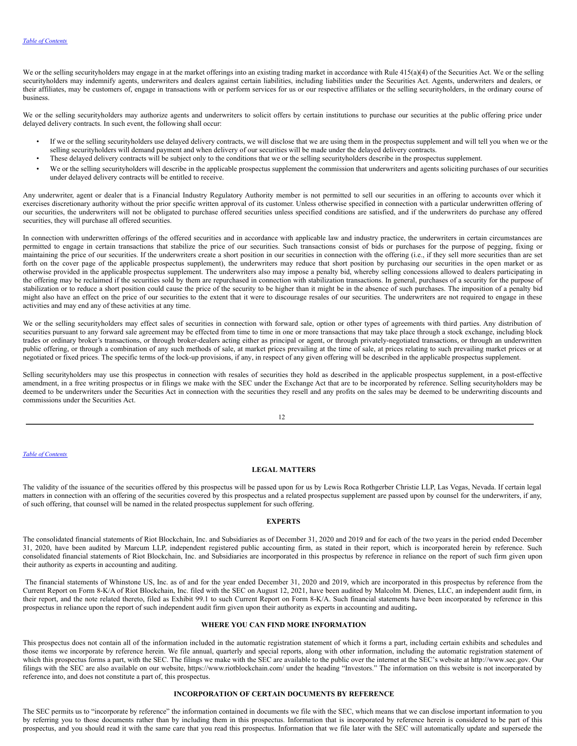We or the selling securityholders may engage in at the market offerings into an existing trading market in accordance with Rule  $415(a)(4)$  of the Securities Act. We or the selling securityholders may indemnify agents, underwriters and dealers against certain liabilities, including liabilities under the Securities Act. Agents, underwriters and dealers, or their affiliates, may be customers of, engage in transactions with or perform services for us or our respective affiliates or the selling securityholders, in the ordinary course of business.

We or the selling securityholders may authorize agents and underwriters to solicit offers by certain institutions to purchase our securities at the public offering price under delayed delivery contracts. In such event, the following shall occur:

- If we or the selling securityholders use delayed delivery contracts, we will disclose that we are using them in the prospectus supplement and will tell you when we or the selling securityholders will demand payment and when delivery of our securities will be made under the delayed delivery contracts.
- These delayed delivery contracts will be subject only to the conditions that we or the selling securityholders describe in the prospectus supplement.
- We or the selling securityholders will describe in the applicable prospectus supplement the commission that underwriters and agents soliciting purchases of our securities under delayed delivery contracts will be entitled to receive.

Any underwriter, agent or dealer that is a Financial Industry Regulatory Authority member is not permitted to sell our securities in an offering to accounts over which it exercises discretionary authority without the prior specific written approval of its customer. Unless otherwise specified in connection with a particular underwritten offering of our securities, the underwriters will not be obligated to purchase offered securities unless specified conditions are satisfied, and if the underwriters do purchase any offered securities, they will purchase all offered securities.

In connection with underwritten offerings of the offered securities and in accordance with applicable law and industry practice, the underwriters in certain circumstances are permitted to engage in certain transactions that stabilize the price of our securities. Such transactions consist of bids or purchases for the purpose of pegging, fixing or maintaining the price of our securities. If the underwriters create a short position in our securities in connection with the offering (i.e., if they sell more securities than are set forth on the cover page of the applicable prospectus supplement), the underwriters may reduce that short position by purchasing our securities in the open market or as otherwise provided in the applicable prospectus supplement. The underwriters also may impose a penalty bid, whereby selling concessions allowed to dealers participating in the offering may be reclaimed if the securities sold by them are repurchased in connection with stabilization transactions. In general, purchases of a security for the purpose of stabilization or to reduce a short position could cause the price of the security to be higher than it might be in the absence of such purchases. The imposition of a penalty bid might also have an effect on the price of our securities to the extent that it were to discourage resales of our securities. The underwriters are not required to engage in these activities and may end any of these activities at any time.

We or the selling securityholders may effect sales of securities in connection with forward sale, option or other types of agreements with third parties. Any distribution of securities pursuant to any forward sale agreement may be effected from time to time in one or more transactions that may take place through a stock exchange, including block trades or ordinary broker's transactions, or through broker-dealers acting either as principal or agent, or through privately-negotiated transactions, or through an underwritten public offering, or through a combination of any such methods of sale, at market prices prevailing at the time of sale, at prices relating to such prevailing market prices or at negotiated or fixed prices. The specific terms of the lock-up provisions, if any, in respect of any given offering will be described in the applicable prospectus supplement.

Selling securityholders may use this prospectus in connection with resales of securities they hold as described in the applicable prospectus supplement, in a post-effective amendment, in a free writing prospectus or in filings we make with the SEC under the Exchange Act that are to be incorporated by reference. Selling securityholders may be deemed to be underwriters under the Securities Act in connection with the securities they resell and any profits on the sales may be deemed to be underwriting discounts and commissions under the Securities Act.

### *Table of [Contents](#page-0-0)*

#### <span id="page-18-0"></span>**LEGAL MATTERS**

The validity of the issuance of the securities offered by this prospectus will be passed upon for us by Lewis Roca Rothgerber Christie LLP, Las Vegas, Nevada. If certain legal matters in connection with an offering of the securities covered by this prospectus and a related prospectus supplement are passed upon by counsel for the underwriters, if any, of such offering, that counsel will be named in the related prospectus supplement for such offering.

## <span id="page-18-1"></span>**EXPERTS**

The consolidated financial statements of Riot Blockchain, Inc. and Subsidiaries as of December 31, 2020 and 2019 and for each of the two years in the period ended December 31, 2020, have been audited by Marcum LLP, independent registered public accounting firm, as stated in their report, which is incorporated herein by reference. Such consolidated financial statements of Riot Blockchain, Inc. and Subsidiaries are incorporated in this prospectus by reference in reliance on the report of such firm given upon their authority as experts in accounting and auditing.

The financial statements of Whinstone US, Inc. as of and for the year ended December 31, 2020 and 2019, which are incorporated in this prospectus by reference from the Current Report on Form 8-K/A of Riot Blockchain, Inc. filed with the SEC on August 12, 2021, have been audited by Malcolm M. Dienes, LLC, an independent audit firm, in their report, and the note related thereto, filed as Exhibit 99.1 to such Current Report on Form 8-K/A. Such financial statements have been incorporated by reference in this prospectus in reliance upon the report of such independent audit firm given upon their authority as experts in accounting and auditing**.**

# <span id="page-18-2"></span>**WHERE YOU CAN FIND MORE INFORMATION**

This prospectus does not contain all of the information included in the automatic registration statement of which it forms a part, including certain exhibits and schedules and those items we incorporate by reference herein. We file annual, quarterly and special reports, along with other information, including the automatic registration statement of which this prospectus forms a part, with the SEC. The filings we make with the SEC are available to the public over the internet at the SEC's website at http://www.sec.gov. Our filings with the SEC are also available on our website, https://www.riotblockchain.com/ under the heading "Investors." The information on this website is not incorporated by reference into, and does not constitute a part of, this prospectus.

### <span id="page-18-3"></span>**INCORPORATION OF CERTAIN DOCUMENTS BY REFERENCE**

The SEC permits us to "incorporate by reference" the information contained in documents we file with the SEC, which means that we can disclose important information to you by referring you to those documents rather than by including them in this prospectus. Information that is incorporated by reference herein is considered to be part of this prospectus, and you should read it with the same care that you read this prospectus. Information that we file later with the SEC will automatically update and supersede the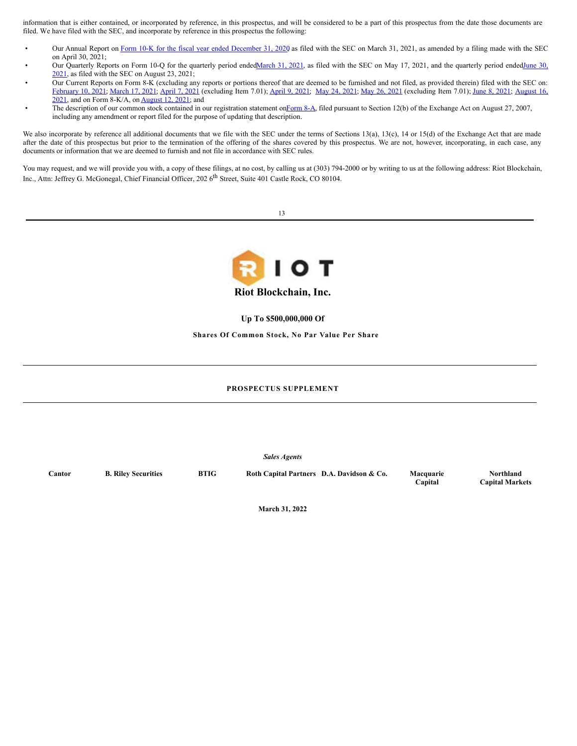information that is either contained, or incorporated by reference, in this prospectus, and will be considered to be a part of this prospectus from the date those documents are filed. We have filed with the SEC, and incorporate by reference in this prospectus the following:

- Our Annual Report on Form 10-K for the fiscal year ended [December](http://www.sec.gov/Archives/edgar/data/1167419/000107997321000221/riot10k1220.htm) 31, 2020 as filed with the SEC on March 31, 2021, as amended by a filing made with the SEC on April 30, 2021;
- Our Quarterly Reports on Form 10-Q for the quarterly period [ended](http://www.sec.gov/Archives/edgar/data/1167419/000107997321000828/riot10qq2-0621.htm)[March](http://www.sec.gov/Archives/edgar/data/1167419/000107997321000383/riot10qq1-0321.htm) 31, 2021, as filed with the SEC on May 17, 2021, and the quarterly period endedJune 30, 2021, as filed with the SEC on August 23, 2021;
- Our Current Reports on Form 8-K (excluding any reports or portions thereof that are deemed to be furnished and not filed, as provided therein) filed with the SEC on: [February](http://www.sec.gov/Archives/edgar/data/1167419/000107997321000074/riot_8k-pilot.htm) 10, 2021; [March](http://www.sec.gov/Archives/edgar/data/1167419/000107997321000184/riot_8k-0321.htm) 17, 2021; [April](http://www.sec.gov/Archives/edgar/data/1167419/000107997321000253/riot_8k-040621.htm) 7, 2021 [\(excluding](http://www.sec.gov/Archives/edgar/data/1167419/000107997321000790/riot_8k-081621.htm) Item 7.01); [April](http://www.sec.gov/Archives/edgar/data/1167419/000107997321000264/riot_8k-040821v2.htm) 9, 2021; May 24, [2021](http://www.sec.gov/Archives/edgar/data/1167419/000107997321000412/riot_8k.htm); May 26, [2021](http://www.sec.gov/Archives/edgar/data/1167419/000107997321000426/riot_8k-052621.htm) (excluding Item 7.01); June 8, [2021](http://www.sec.gov/Archives/edgar/data/1167419/000107997321000481/riot_8k-060721.htm); August 16, 2021, and on Form 8-K/A, on [August](http://www.sec.gov/Archives/edgar/data/1167419/000107997321000745/riot_8ka-v3.htm) 12, 2021; and
- The description of our common stock contained in our registration statement o[nForm](http://www.sec.gov/Archives/edgar/data/1167419/000107997307000759/apnb_form8a-082207.htm) 8-A, filed pursuant to Section 12(b) of the Exchange Act on August 27, 2007, including any amendment or report filed for the purpose of updating that description.

We also incorporate by reference all additional documents that we file with the SEC under the terms of Sections 13(a), 13(c), 14 or 15(d) of the Exchange Act that are made after the date of this prospectus but prior to the termination of the offering of the shares covered by this prospectus. We are not, however, incorporating, in each case, any documents or information that we are deemed to furnish and not file in accordance with SEC rules.

You may request, and we will provide you with, a copy of these filings, at no cost, by calling us at (303) 794-2000 or by writing to us at the following address: Riot Blockchain, Inc., Attn: Jeffrey G. McGonegal, Chief Financial Officer, 202 6<sup>th</sup> Street, Suite 401 Castle Rock, CO 80104.





**Up To \$500,000,000 Of**

**Shares Of Common Stock, No Par Value Per Share**

## **PROSPECTUS SUPPLEMENT**

*Sales Agents*

**Cantor B. Riley Securities BTIG Roth Capital Partners D.A. Davidson & Co. Macquarie**

**Capital**

**Northland Capital Markets**

**March 31, 2022**